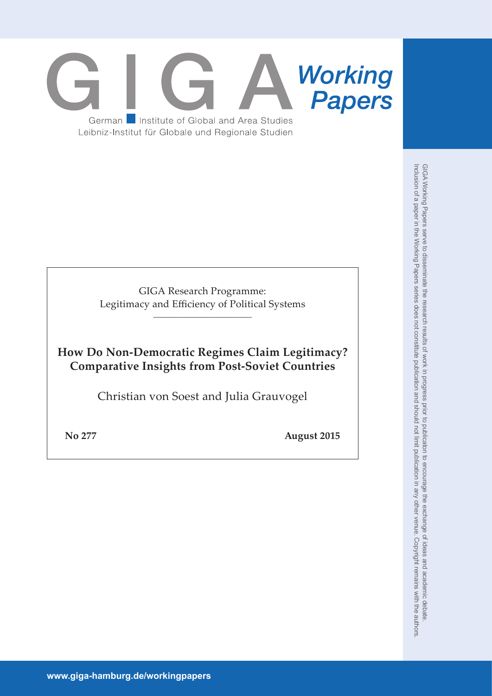# **Working**<br>**Papers** Institute of Global and Area Studies German Leibniz-Institut für Globale und Regionale Studien

GIGA Research Programme: Legitimacy and Efficiency of Political Systems

\_\_\_\_\_\_\_\_\_\_\_\_\_\_\_\_\_\_\_\_\_\_\_\_\_\_\_

**How Do Non-Democratic Regimes Claim Legitimacy? Comparative Insights from Post-Soviet Countries** 

Christian von Soest and Julia Grauvogel

**No 277 August 2015**

GIGA Working Papers serve to disseminate the research results of work in progress prior to publicaton to encourage the exchange of ideas and academic debate.<br>Inclusion of a paper in the Working Papers series does not const Inclusion of a paper in the Working Papers series does not constitute publication and should not limit publication in any other venue. Copyright remains with the authors. GIGA Working Papers serve to disseminate the research results of work in progress prior to publicaton to encourage the exchange of ideas and academic debate.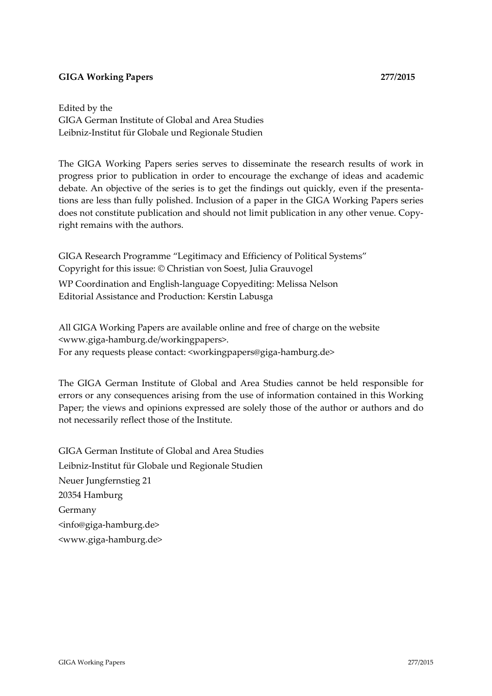#### **GIGA Working Papers 277/2015**

Edited by the GIGA German Institute of Global and Area Studies Leibniz‐Institut für Globale und Regionale Studien

The GIGA Working Papers series serves to disseminate the research results of work in progress prior to publication in order to encourage the exchange of ideas and academic debate. An objective of the series is to get the findings out quickly, even if the presenta‐ tions are less than fully polished. Inclusion of a paper in the GIGA Working Papers series does not constitute publication and should not limit publication in any other venue. Copyright remains with the authors.

GIGA Research Programme "Legitimacy and Efficiency of Political Systems" Copyright for this issue: © Christian von Soest, Julia Grauvogel WP Coordination and English‐language Copyediting: Melissa Nelson Editorial Assistance and Production: Kerstin Labusga

All GIGA Working Papers are available online and free of charge on the website <www.giga‐hamburg.de/workingpapers>. For any requests please contact: <workingpapers@giga-hamburg.de>

The GIGA German Institute of Global and Area Studies cannot be held responsible for errors or any consequences arising from the use of information contained in this Working Paper; the views and opinions expressed are solely those of the author or authors and do not necessarily reflect those of the Institute.

GIGA German Institute of Global and Area Studies Leibniz‐Institut für Globale und Regionale Studien Neuer Jungfernstieg 21 20354 Hamburg Germany <info@giga‐hamburg.de> <www.giga‐hamburg.de>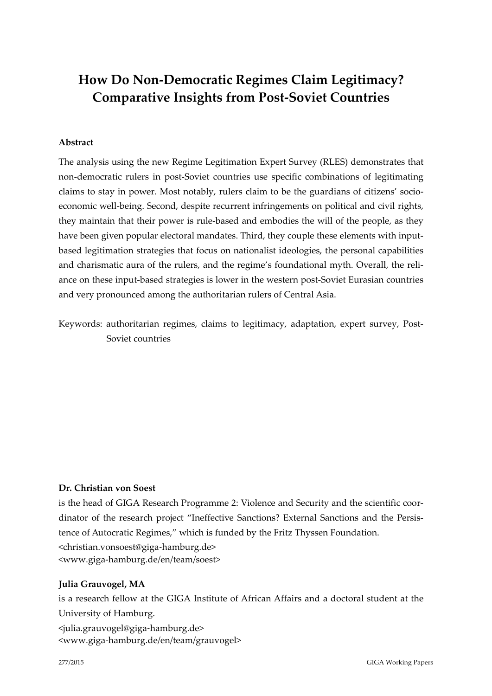# **How Do Non‐Democratic Regimes Claim Legitimacy? Comparative Insights from Post‐Soviet Countries**

#### **Abstract**

The analysis using the new Regime Legitimation Expert Survey (RLES) demonstrates that non‐democratic rulers in post‐Soviet countries use specific combinations of legitimating claims to stay in power. Most notably, rulers claim to be the guardians of citizens' socioeconomic well-being. Second, despite recurrent infringements on political and civil rights, they maintain that their power is rule‐based and embodies the will of the people, as they have been given popular electoral mandates. Third, they couple these elements with inputbased legitimation strategies that focus on nationalist ideologies, the personal capabilities and charismatic aura of the rulers, and the regime's foundational myth. Overall, the reli‐ ance on these input‐based strategies is lower in the western post‐Soviet Eurasian countries and very pronounced among the authoritarian rulers of Central Asia.

Keywords: authoritarian regimes, claims to legitimacy, adaptation, expert survey, Post-Soviet countries

#### **Dr. Christian von Soest**

is the head of GIGA Research Programme 2: Violence and Security and the scientific coordinator of the research project "Ineffective Sanctions? External Sanctions and the Persis‐ tence of Autocratic Regimes," which is funded by the Fritz Thyssen Foundation. <christian.vonsoest@giga‐hamburg.de> <www.giga‐hamburg.de/en/team/soest>

#### **Julia Grauvogel, MA**

is a research fellow at the GIGA Institute of African Affairs and a doctoral student at the University of Hamburg. <julia.grauvogel@giga‐hamburg.de>

<www.giga‐hamburg.de/en/team/grauvogel>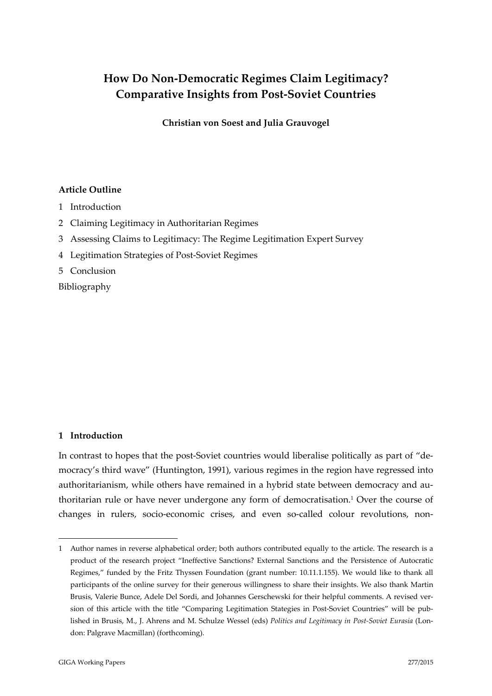## **How Do Non‐Democratic Regimes Claim Legitimacy? Comparative Insights from Post‐Soviet Countries**

**Christian von Soest and Julia Grauvogel**

#### **Article Outline**

- 1 Introduction
- 2 Claiming Legitimacy in Authoritarian Regimes
- 3 Assessing Claims to Legitimacy: The Regime Legitimation Expert Survey
- 4 Legitimation Strategies of Post‐Soviet Regimes
- 5 Conclusion

Bibliography

#### **1 Introduction**

1

In contrast to hopes that the post-Soviet countries would liberalise politically as part of "democracy's third wave" (Huntington, 1991), various regimes in the region have regressed into authoritarianism, while others have remained in a hybrid state between democracy and authoritarian rule or have never undergone any form of democratisation.1 Over the course of changes in rulers, socio-economic crises, and even so-called colour revolutions, non-

<sup>1</sup> Author names in reverse alphabetical order; both authors contributed equally to the article. The research is a product of the research project "Ineffective Sanctions? External Sanctions and the Persistence of Autocratic Regimes," funded by the Fritz Thyssen Foundation (grant number: 10.11.1.155). We would like to thank all participants of the online survey for their generous willingness to share their insights. We also thank Martin Brusis, Valerie Bunce, Adele Del Sordi, and Johannes Gerschewski for their helpful comments. A revised ver‐ sion of this article with the title "Comparing Legitimation Stategies in Post-Soviet Countries" will be published in Brusis, M., J. Ahrens and M. Schulze Wessel (eds) *Politics and Legitimacy in Post‐Soviet Eurasia* (Lon‐ don: Palgrave Macmillan) (forthcoming).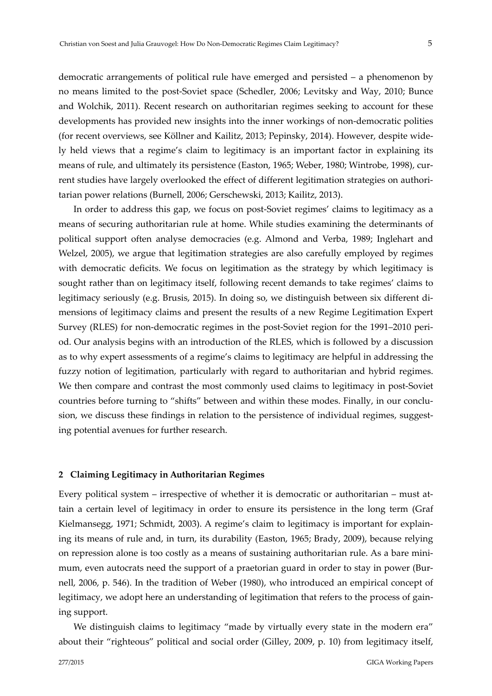democratic arrangements of political rule have emerged and persisted – a phenomenon by no means limited to the post‐Soviet space (Schedler, 2006; Levitsky and Way, 2010; Bunce and Wolchik, 2011). Recent research on authoritarian regimes seeking to account for these developments has provided new insights into the inner workings of non‐democratic polities (for recent overviews, see Köllner and Kailitz, 2013; Pepinsky, 2014). However, despite wide‐ ly held views that a regime's claim to legitimacy is an important factor in explaining its means of rule, and ultimately its persistence (Easton, 1965; Weber, 1980; Wintrobe, 1998), current studies have largely overlooked the effect of different legitimation strategies on authoritarian power relations (Burnell, 2006; Gerschewski, 2013; Kailitz, 2013).

In order to address this gap, we focus on post-Soviet regimes' claims to legitimacy as a means of securing authoritarian rule at home. While studies examining the determinants of political support often analyse democracies (e.g. Almond and Verba, 1989; Inglehart and Welzel, 2005), we argue that legitimation strategies are also carefully employed by regimes with democratic deficits. We focus on legitimation as the strategy by which legitimacy is sought rather than on legitimacy itself, following recent demands to take regimes' claims to legitimacy seriously (e.g. Brusis, 2015). In doing so, we distinguish between six different di‐ mensions of legitimacy claims and present the results of a new Regime Legitimation Expert Survey (RLES) for non-democratic regimes in the post-Soviet region for the 1991–2010 period. Our analysis begins with an introduction of the RLES, which is followed by a discussion as to why expert assessments of a regime's claims to legitimacy are helpful in addressing the fuzzy notion of legitimation, particularly with regard to authoritarian and hybrid regimes. We then compare and contrast the most commonly used claims to legitimacy in post-Soviet countries before turning to "shifts" between and within these modes. Finally, in our conclusion, we discuss these findings in relation to the persistence of individual regimes, suggesting potential avenues for further research.

#### **2 Claiming Legitimacy in Authoritarian Regimes**

Every political system – irrespective of whether it is democratic or authoritarian – must at‐ tain a certain level of legitimacy in order to ensure its persistence in the long term (Graf Kielmansegg, 1971; Schmidt, 2003). A regime's claim to legitimacy is important for explain‐ ing its means of rule and, in turn, its durability (Easton, 1965; Brady, 2009), because relying on repression alone is too costly as a means of sustaining authoritarian rule. As a bare mini‐ mum, even autocrats need the support of a praetorian guard in order to stay in power (Burnell, 2006, p. 546). In the tradition of Weber (1980), who introduced an empirical concept of legitimacy, we adopt here an understanding of legitimation that refers to the process of gaining support.

We distinguish claims to legitimacy "made by virtually every state in the modern era" about their "righteous" political and social order (Gilley, 2009, p. 10) from legitimacy itself,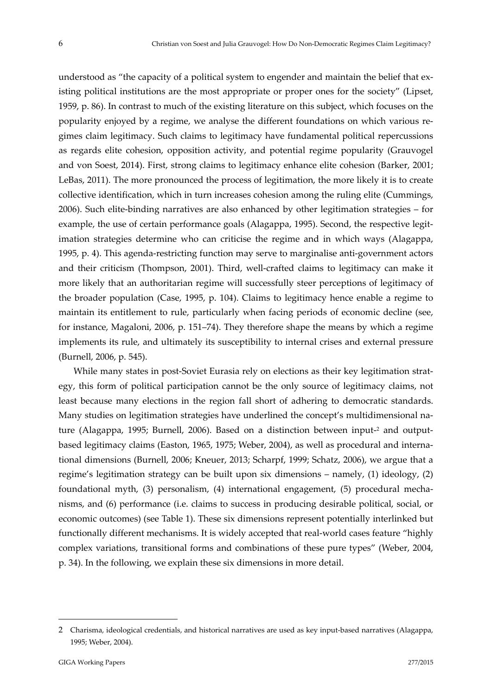understood as "the capacity of a political system to engender and maintain the belief that existing political institutions are the most appropriate or proper ones for the society" (Lipset, 1959, p. 86). In contrast to much of the existing literature on this subject, which focuses on the popularity enjoyed by a regime, we analyse the different foundations on which various re‐ gimes claim legitimacy. Such claims to legitimacy have fundamental political repercussions as regards elite cohesion, opposition activity, and potential regime popularity (Grauvogel and von Soest, 2014). First, strong claims to legitimacy enhance elite cohesion (Barker, 2001; LeBas, 2011). The more pronounced the process of legitimation, the more likely it is to create collective identification, which in turn increases cohesion among the ruling elite (Cummings, 2006). Such elite‐binding narratives are also enhanced by other legitimation strategies – for example, the use of certain performance goals (Alagappa, 1995). Second, the respective legitimation strategies determine who can criticise the regime and in which ways (Alagappa, 1995, p. 4). This agenda‐restricting function may serve to marginalise anti‐government actors and their criticism (Thompson, 2001). Third, well-crafted claims to legitimacy can make it more likely that an authoritarian regime will successfully steer perceptions of legitimacy of the broader population (Case, 1995, p. 104). Claims to legitimacy hence enable a regime to maintain its entitlement to rule, particularly when facing periods of economic decline (see, for instance, Magaloni, 2006, p. 151–74). They therefore shape the means by which a regime implements its rule, and ultimately its susceptibility to internal crises and external pressure (Burnell, 2006, p. 545).

While many states in post-Soviet Eurasia rely on elections as their key legitimation strategy, this form of political participation cannot be the only source of legitimacy claims, not least because many elections in the region fall short of adhering to democratic standards. Many studies on legitimation strategies have underlined the concept's multidimensional na‐ ture (Alagappa, 1995; Burnell, 2006). Based on a distinction between input-<sup>2</sup> and outputbased legitimacy claims (Easton, 1965, 1975; Weber, 2004), as well as procedural and interna‐ tional dimensions (Burnell, 2006; Kneuer, 2013; Scharpf, 1999; Schatz, 2006), we argue that a regime's legitimation strategy can be built upon six dimensions – namely, (1) ideology, (2) foundational myth, (3) personalism, (4) international engagement, (5) procedural mecha‐ nisms, and (6) performance (i.e. claims to success in producing desirable political, social, or economic outcomes) (see Table 1). These six dimensions represent potentially interlinked but functionally different mechanisms. It is widely accepted that real‐world cases feature "highly complex variations, transitional forms and combinations of these pure types" (Weber, 2004, p. 34). In the following, we explain these six dimensions in more detail.

<u>.</u>

<sup>2</sup> Charisma, ideological credentials, and historical narratives are used as key input-based narratives (Alagappa, 1995; Weber, 2004).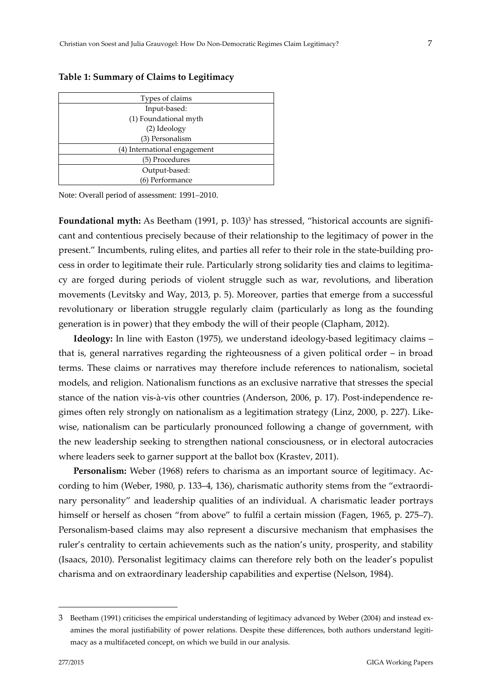**Table 1: Summary of Claims to Legitimacy**

| Types of claims              |  |
|------------------------------|--|
| Input-based:                 |  |
| (1) Foundational myth        |  |
| (2) Ideology                 |  |
| (3) Personalism              |  |
| (4) International engagement |  |
| (5) Procedures               |  |
| Output-based:                |  |
| (6) Performance              |  |

Note: Overall period of assessment: 1991–2010.

Foundational myth: As Beetham (1991, p. 103)<sup>3</sup> has stressed, "historical accounts are significant and contentious precisely because of their relationship to the legitimacy of power in the present." Incumbents, ruling elites, and parties all refer to their role in the state-building process in order to legitimate their rule. Particularly strong solidarity ties and claims to legitimacy are forged during periods of violent struggle such as war, revolutions, and liberation movements (Levitsky and Way, 2013, p. 5). Moreover, parties that emerge from a successful revolutionary or liberation struggle regularly claim (particularly as long as the founding generation is in power) that they embody the will of their people (Clapham, 2012).

**Ideology:** In line with Easton (1975), we understand ideology-based legitimacy claims – that is, general narratives regarding the righteousness of a given political order – in broad terms. These claims or narratives may therefore include references to nationalism, societal models, and religion. Nationalism functions as an exclusive narrative that stresses the special stance of the nation vis-à-vis other countries (Anderson, 2006, p. 17). Post-independence regimes often rely strongly on nationalism as a legitimation strategy (Linz, 2000, p. 227). Like‐ wise, nationalism can be particularly pronounced following a change of government, with the new leadership seeking to strengthen national consciousness, or in electoral autocracies where leaders seek to garner support at the ballot box (Krastev, 2011).

Personalism: Weber (1968) refers to charisma as an important source of legitimacy. According to him (Weber, 1980, p. 133–4, 136), charismatic authority stems from the "extraordinary personality" and leadership qualities of an individual. A charismatic leader portrays himself or herself as chosen "from above" to fulfil a certain mission (Fagen, 1965, p. 275–7). Personalism-based claims may also represent a discursive mechanism that emphasises the ruler's centrality to certain achievements such as the nation's unity, prosperity, and stability (Isaacs, 2010). Personalist legitimacy claims can therefore rely both on the leader's populist charisma and on extraordinary leadership capabilities and expertise (Nelson, 1984).

<u>.</u>

<sup>3</sup> Beetham (1991) criticises the empirical understanding of legitimacy advanced by Weber (2004) and instead ex‐ amines the moral justifiability of power relations. Despite these differences, both authors understand legitimacy as a multifaceted concept, on which we build in our analysis.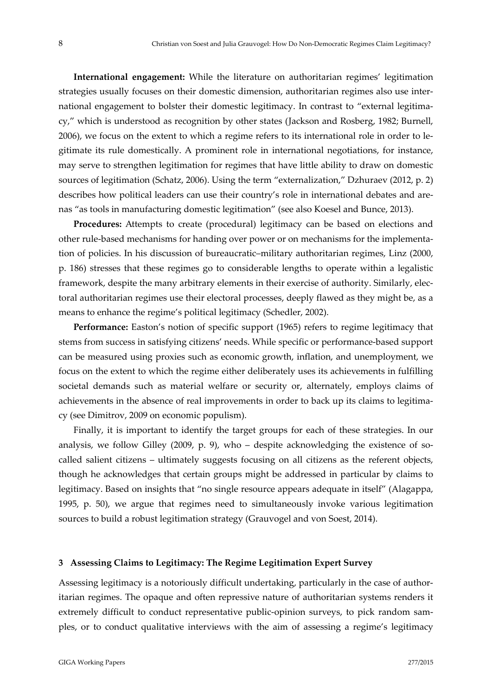**International engagement:** While the literature on authoritarian regimes' legitimation strategies usually focuses on their domestic dimension, authoritarian regimes also use inter‐ national engagement to bolster their domestic legitimacy. In contrast to "external legitimacy," which is understood as recognition by other states (Jackson and Rosberg, 1982; Burnell, 2006), we focus on the extent to which a regime refers to its international role in order to le‐ gitimate its rule domestically. A prominent role in international negotiations, for instance, may serve to strengthen legitimation for regimes that have little ability to draw on domestic sources of legitimation (Schatz, 2006). Using the term "externalization," Dzhuraev (2012, p. 2) describes how political leaders can use their country's role in international debates and arenas "as tools in manufacturing domestic legitimation" (see also Koesel and Bunce, 2013).

**Procedures:** Attempts to create (procedural) legitimacy can be based on elections and other rule‐based mechanisms for handing over power or on mechanisms for the implementa‐ tion of policies. In his discussion of bureaucratic–military authoritarian regimes, Linz (2000, p. 186) stresses that these regimes go to considerable lengths to operate within a legalistic framework, despite the many arbitrary elements in their exercise of authority. Similarly, elec‐ toral authoritarian regimes use their electoral processes, deeply flawed as they might be, as a means to enhance the regime's political legitimacy (Schedler, 2002).

**Performance:** Easton's notion of specific support (1965) refers to regime legitimacy that stems from success in satisfying citizens' needs. While specific or performance‐based support can be measured using proxies such as economic growth, inflation, and unemployment, we focus on the extent to which the regime either deliberately uses its achievements in fulfilling societal demands such as material welfare or security or, alternately, employs claims of achievements in the absence of real improvements in order to back up its claims to legitimacy (see Dimitrov, 2009 on economic populism).

Finally, it is important to identify the target groups for each of these strategies. In our analysis, we follow Gilley (2009, p. 9), who – despite acknowledging the existence of socalled salient citizens – ultimately suggests focusing on all citizens as the referent objects, though he acknowledges that certain groups might be addressed in particular by claims to legitimacy. Based on insights that "no single resource appears adequate in itself" (Alagappa, 1995, p. 50), we argue that regimes need to simultaneously invoke various legitimation sources to build a robust legitimation strategy (Grauvogel and von Soest, 2014).

#### **3 Assessing Claims to Legitimacy: The Regime Legitimation Expert Survey**

Assessing legitimacy is a notoriously difficult undertaking, particularly in the case of authoritarian regimes. The opaque and often repressive nature of authoritarian systems renders it extremely difficult to conduct representative public-opinion surveys, to pick random samples, or to conduct qualitative interviews with the aim of assessing a regime's legitimacy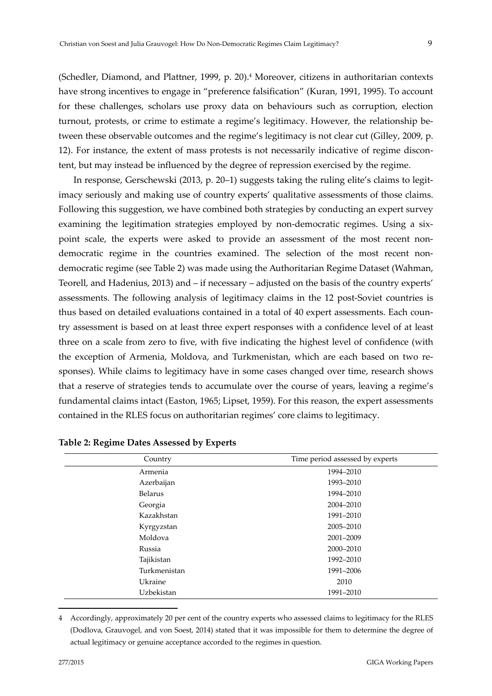(Schedler, Diamond, and Plattner, 1999, p. 20).4 Moreover, citizens in authoritarian contexts have strong incentives to engage in "preference falsification" (Kuran, 1991, 1995). To account for these challenges, scholars use proxy data on behaviours such as corruption, election turnout, protests, or crime to estimate a regime's legitimacy. However, the relationship between these observable outcomes and the regime's legitimacy is not clear cut (Gilley, 2009, p. 12). For instance, the extent of mass protests is not necessarily indicative of regime discontent, but may instead be influenced by the degree of repression exercised by the regime.

In response, Gerschewski (2013, p. 20–1) suggests taking the ruling elite's claims to legitimacy seriously and making use of country experts' qualitative assessments of those claims. Following this suggestion, we have combined both strategies by conducting an expert survey examining the legitimation strategies employed by non-democratic regimes. Using a sixpoint scale, the experts were asked to provide an assessment of the most recent nondemocratic regime in the countries examined. The selection of the most recent nondemocratic regime (see Table 2) was made using the Authoritarian Regime Dataset (Wahman, Teorell, and Hadenius, 2013) and – if necessary – adjusted on the basis of the country experts' assessments. The following analysis of legitimacy claims in the 12 post‐Soviet countries is thus based on detailed evaluations contained in a total of 40 expert assessments. Each country assessment is based on at least three expert responses with a confidence level of at least three on a scale from zero to five, with five indicating the highest level of confidence (with the exception of Armenia, Moldova, and Turkmenistan, which are each based on two responses). While claims to legitimacy have in some cases changed over time, research shows that a reserve of strategies tends to accumulate over the course of years, leaving a regime's fundamental claims intact (Easton, 1965; Lipset, 1959). For this reason, the expert assessments contained in the RLES focus on authoritarian regimes' core claims to legitimacy.

| Country        | Time period assessed by experts |
|----------------|---------------------------------|
| Armenia        | 1994-2010                       |
| Azerbaijan     | 1993-2010                       |
| <b>Belarus</b> | 1994-2010                       |
| Georgia        | 2004-2010                       |
| Kazakhstan     | 1991-2010                       |
| Kyrgyzstan     | 2005-2010                       |
| Moldova        | 2001-2009                       |
| Russia         | 2000-2010                       |
| Tajikistan     | 1992-2010                       |
| Turkmenistan   | 1991-2006                       |
| Ukraine        | 2010                            |
| Uzbekistan     | 1991-2010                       |

**Table 2: Regime Dates Assessed by Experts** 

4 Accordingly, approximately 20 per cent of the country experts who assessed claims to legitimacy for the RLES (Dodlova, Grauvogel, and von Soest, 2014) stated that it was impossible for them to determine the degree of actual legitimacy or genuine acceptance accorded to the regimes in question.

1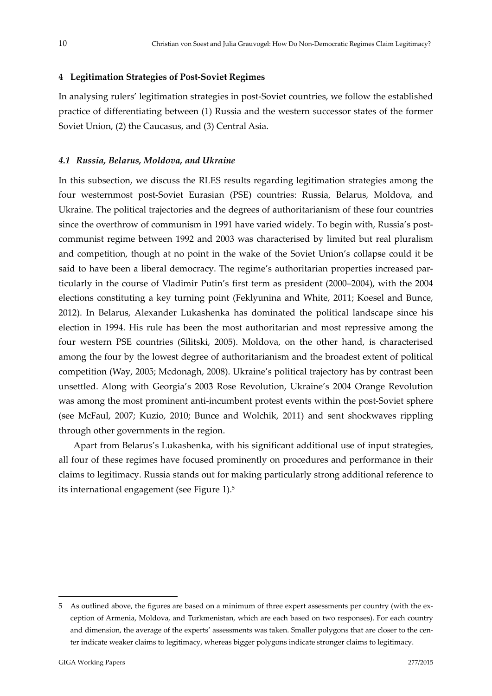#### **4 Legitimation Strategies of Post‐Soviet Regimes**

In analysing rulers' legitimation strategies in post‐Soviet countries, we follow the established practice of differentiating between (1) Russia and the western successor states of the former Soviet Union, (2) the Caucasus, and (3) Central Asia.

#### *4.1 Russia, Belarus, Moldova, and Ukraine*

In this subsection, we discuss the RLES results regarding legitimation strategies among the four westernmost post‐Soviet Eurasian (PSE) countries: Russia, Belarus, Moldova, and Ukraine. The political trajectories and the degrees of authoritarianism of these four countries since the overthrow of communism in 1991 have varied widely. To begin with, Russia's postcommunist regime between 1992 and 2003 was characterised by limited but real pluralism and competition, though at no point in the wake of the Soviet Union's collapse could it be said to have been a liberal democracy. The regime's authoritarian properties increased particularly in the course of Vladimir Putin's first term as president (2000–2004), with the 2004 elections constituting a key turning point (Feklyunina and White, 2011; Koesel and Bunce, 2012). In Belarus, Alexander Lukashenka has dominated the political landscape since his election in 1994. His rule has been the most authoritarian and most repressive among the four western PSE countries (Silitski, 2005). Moldova, on the other hand, is characterised among the four by the lowest degree of authoritarianism and the broadest extent of political competition (Way, 2005; Mcdonagh, 2008). Ukraine's political trajectory has by contrast been unsettled. Along with Georgia's 2003 Rose Revolution, Ukraine's 2004 Orange Revolution was among the most prominent anti-incumbent protest events within the post-Soviet sphere (see McFaul, 2007; Kuzio, 2010; Bunce and Wolchik, 2011) and sent shockwaves rippling through other governments in the region.

Apart from Belarus's Lukashenka, with his significant additional use of input strategies, all four of these regimes have focused prominently on procedures and performance in their claims to legitimacy. Russia stands out for making particularly strong additional reference to its international engagement (see Figure 1).5

1

<sup>5</sup> As outlined above, the figures are based on a minimum of three expert assessments per country (with the exception of Armenia, Moldova, and Turkmenistan, which are each based on two responses). For each country and dimension, the average of the experts' assessments was taken. Smaller polygons that are closer to the center indicate weaker claims to legitimacy, whereas bigger polygons indicate stronger claims to legitimacy.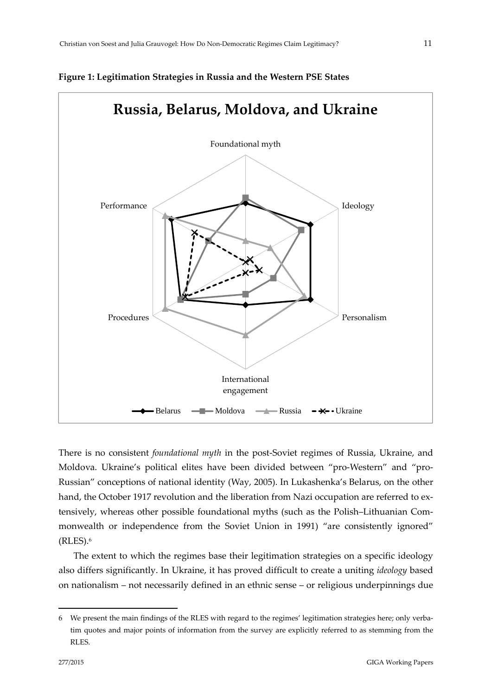

#### **Figure 1: Legitimation Strategies in Russia and the Western PSE States**

There is no consistent *foundational myth* in the post‐Soviet regimes of Russia, Ukraine, and Moldova. Ukraine's political elites have been divided between "pro-Western" and "pro-Russian" conceptions of national identity (Way, 2005). In Lukashenka's Belarus, on the other hand, the October 1917 revolution and the liberation from Nazi occupation are referred to extensively, whereas other possible foundational myths (such as the Polish–Lithuanian Com‐ monwealth or independence from the Soviet Union in 1991) "are consistently ignored" (RLES).6

The extent to which the regimes base their legitimation strategies on a specific ideology also differs significantly. In Ukraine, it has proved difficult to create a uniting *ideology* based on nationalism – not necessarily defined in an ethnic sense – or religious underpinnings due

1

<sup>6</sup> We present the main findings of the RLES with regard to the regimes' legitimation strategies here; only verba‐ tim quotes and major points of information from the survey are explicitly referred to as stemming from the RLES.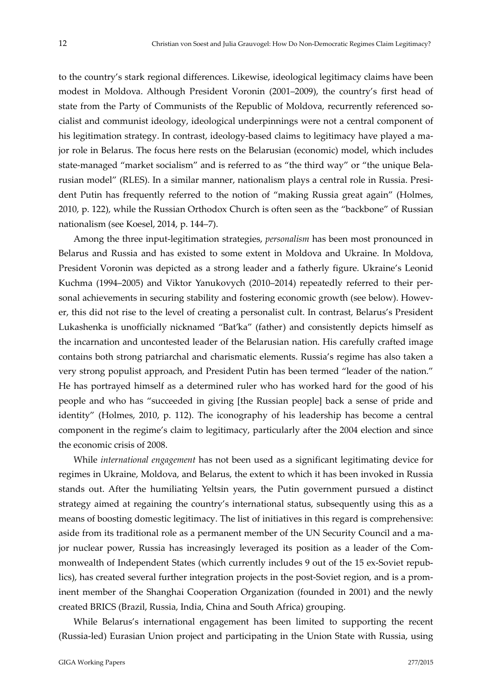to the country's stark regional differences. Likewise, ideological legitimacy claims have been modest in Moldova. Although President Voronin (2001–2009), the country's first head of state from the Party of Communists of the Republic of Moldova, recurrently referenced socialist and communist ideology, ideological underpinnings were not a central component of his legitimation strategy. In contrast, ideology-based claims to legitimacy have played a major role in Belarus. The focus here rests on the Belarusian (economic) model, which includes state-managed "market socialism" and is referred to as "the third way" or "the unique Belarusian model" (RLES). In a similar manner, nationalism plays a central role in Russia. Presi‐ dent Putin has frequently referred to the notion of "making Russia great again" (Holmes, 2010, p. 122), while the Russian Orthodox Church is often seen as the "backbone" of Russian nationalism (see Koesel, 2014, p. 144–7).

Among the three input‐legitimation strategies, *personalism* has been most pronounced in Belarus and Russia and has existed to some extent in Moldova and Ukraine. In Moldova, President Voronin was depicted as a strong leader and a fatherly figure. Ukraine's Leonid Kuchma (1994–2005) and Viktor Yanukovych (2010–2014) repeatedly referred to their per‐ sonal achievements in securing stability and fostering economic growth (see below). However, this did not rise to the level of creating a personalist cult. In contrast, Belarus's President Lukashenka is unofficially nicknamed "Bat'ka" (father) and consistently depicts himself as the incarnation and uncontested leader of the Belarusian nation. His carefully crafted image contains both strong patriarchal and charismatic elements. Russia's regime has also taken a very strong populist approach, and President Putin has been termed "leader of the nation." He has portrayed himself as a determined ruler who has worked hard for the good of his people and who has "succeeded in giving [the Russian people] back a sense of pride and identity" (Holmes, 2010, p. 112). The iconography of his leadership has become a central component in the regime's claim to legitimacy, particularly after the 2004 election and since the economic crisis of 2008.

While *international engagement* has not been used as a significant legitimating device for regimes in Ukraine, Moldova, and Belarus, the extent to which it has been invoked in Russia stands out. After the humiliating Yeltsin years, the Putin government pursued a distinct strategy aimed at regaining the country's international status, subsequently using this as a means of boosting domestic legitimacy. The list of initiatives in this regard is comprehensive: aside from its traditional role as a permanent member of the UN Security Council and a major nuclear power, Russia has increasingly leveraged its position as a leader of the Commonwealth of Independent States (which currently includes 9 out of the 15 ex-Soviet republics), has created several further integration projects in the post‐Soviet region, and is a prom‐ inent member of the Shanghai Cooperation Organization (founded in 2001) and the newly created BRICS (Brazil, Russia, India, China and South Africa) grouping.

While Belarus's international engagement has been limited to supporting the recent (Russia‐led) Eurasian Union project and participating in the Union State with Russia, using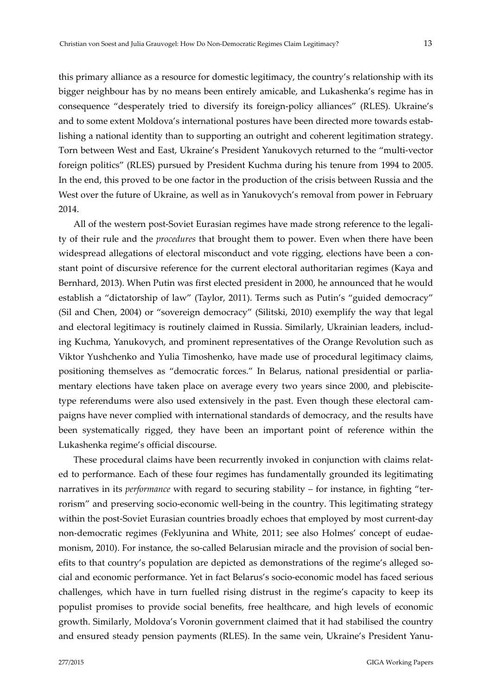this primary alliance as a resource for domestic legitimacy, the country's relationship with its bigger neighbour has by no means been entirely amicable, and Lukashenka's regime has in consequence "desperately tried to diversify its foreign‐policy alliances" (RLES). Ukraine's and to some extent Moldova's international postures have been directed more towards establishing a national identity than to supporting an outright and coherent legitimation strategy. Torn between West and East, Ukraine's President Yanukovych returned to the "multi‐vector foreign politics" (RLES) pursued by President Kuchma during his tenure from 1994 to 2005. In the end, this proved to be one factor in the production of the crisis between Russia and the West over the future of Ukraine, as well as in Yanukovych's removal from power in February 2014.

All of the western post-Soviet Eurasian regimes have made strong reference to the legality of their rule and the *procedures* that brought them to power. Even when there have been widespread allegations of electoral misconduct and vote rigging, elections have been a constant point of discursive reference for the current electoral authoritarian regimes (Kaya and Bernhard, 2013). When Putin was first elected president in 2000, he announced that he would establish a "dictatorship of law" (Taylor, 2011). Terms such as Putin's "guided democracy" (Sil and Chen, 2004) or "sovereign democracy" (Silitski, 2010) exemplify the way that legal and electoral legitimacy is routinely claimed in Russia. Similarly, Ukrainian leaders, including Kuchma, Yanukovych, and prominent representatives of the Orange Revolution such as Viktor Yushchenko and Yulia Timoshenko, have made use of procedural legitimacy claims, positioning themselves as "democratic forces." In Belarus, national presidential or parliamentary elections have taken place on average every two years since 2000, and plebiscite type referendums were also used extensively in the past. Even though these electoral campaigns have never complied with international standards of democracy, and the results have been systematically rigged, they have been an important point of reference within the Lukashenka regime's official discourse.

These procedural claims have been recurrently invoked in conjunction with claims relat‐ ed to performance. Each of these four regimes has fundamentally grounded its legitimating narratives in its *performance* with regard to securing stability – for instance, in fighting "terrorism" and preserving socio-economic well-being in the country. This legitimating strategy within the post-Soviet Eurasian countries broadly echoes that employed by most current-day non-democratic regimes (Feklyunina and White, 2011; see also Holmes' concept of eudaemonism, 2010). For instance, the so-called Belarusian miracle and the provision of social benefits to that country's population are depicted as demonstrations of the regime's alleged so‐ cial and economic performance. Yet in fact Belarus's socio‐economic model has faced serious challenges, which have in turn fuelled rising distrust in the regime's capacity to keep its populist promises to provide social benefits, free healthcare, and high levels of economic growth. Similarly, Moldova's Voronin government claimed that it had stabilised the country and ensured steady pension payments (RLES). In the same vein, Ukraine's President Yanu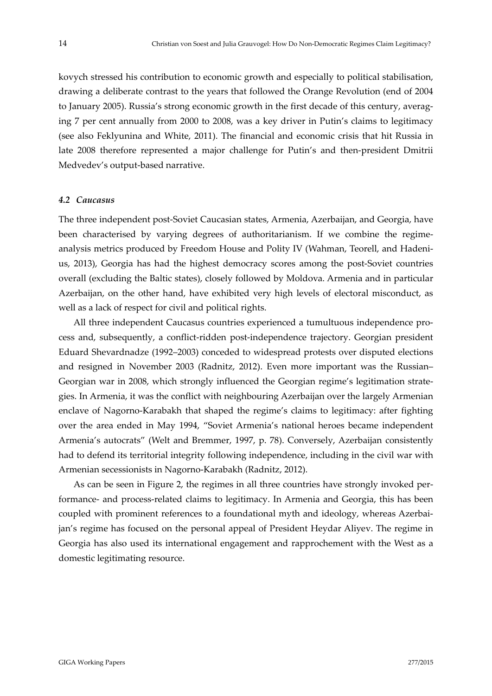kovych stressed his contribution to economic growth and especially to political stabilisation, drawing a deliberate contrast to the years that followed the Orange Revolution (end of 2004 to January 2005). Russia's strong economic growth in the first decade of this century, averag‐ ing 7 per cent annually from 2000 to 2008, was a key driver in Putin's claims to legitimacy (see also Feklyunina and White, 2011). The financial and economic crisis that hit Russia in late 2008 therefore represented a major challenge for Putin's and then-president Dmitrii Medvedev's output‐based narrative.

#### *4.2 Caucasus*

The three independent post‐Soviet Caucasian states, Armenia, Azerbaijan, and Georgia, have been characterised by varying degrees of authoritarianism. If we combine the regimeanalysis metrics produced by Freedom House and Polity IV (Wahman, Teorell, and Hadeni‐ us, 2013), Georgia has had the highest democracy scores among the post‐Soviet countries overall (excluding the Baltic states), closely followed by Moldova. Armenia and in particular Azerbaijan, on the other hand, have exhibited very high levels of electoral misconduct, as well as a lack of respect for civil and political rights.

All three independent Caucasus countries experienced a tumultuous independence pro‐ cess and, subsequently, a conflict‐ridden post‐independence trajectory. Georgian president Eduard Shevardnadze (1992–2003) conceded to widespread protests over disputed elections and resigned in November 2003 (Radnitz, 2012). Even more important was the Russian– Georgian war in 2008, which strongly influenced the Georgian regime's legitimation strate‐ gies. In Armenia, it was the conflict with neighbouring Azerbaijan over the largely Armenian enclave of Nagorno‐Karabakh that shaped the regime's claims to legitimacy: after fighting over the area ended in May 1994, "Soviet Armenia's national heroes became independent Armenia's autocrats" (Welt and Bremmer, 1997, p. 78). Conversely, Azerbaijan consistently had to defend its territorial integrity following independence, including in the civil war with Armenian secessionists in Nagorno‐Karabakh (Radnitz, 2012).

As can be seen in Figure 2, the regimes in all three countries have strongly invoked per‐ formance‐ and process‐related claims to legitimacy. In Armenia and Georgia, this has been coupled with prominent references to a foundational myth and ideology, whereas Azerbaijan's regime has focused on the personal appeal of President Heydar Aliyev. The regime in Georgia has also used its international engagement and rapprochement with the West as a domestic legitimating resource.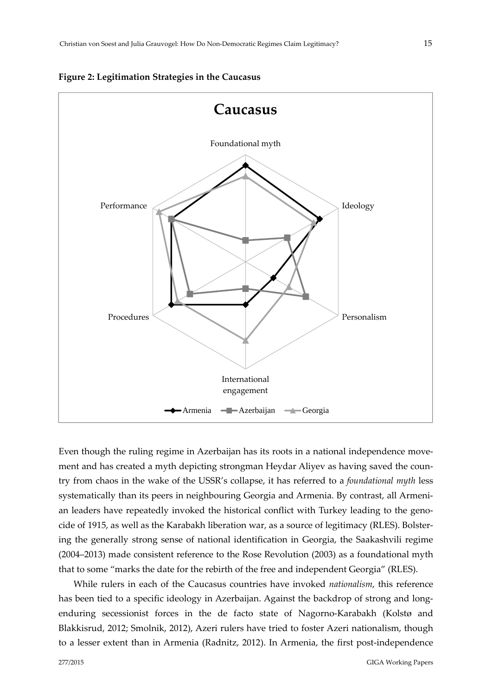



Even though the ruling regime in Azerbaijan has its roots in a national independence movement and has created a myth depicting strongman Heydar Aliyev as having saved the country from chaos in the wake of the USSR's collapse, it has referred to a *foundational myth* less systematically than its peers in neighbouring Georgia and Armenia. By contrast, all Armenian leaders have repeatedly invoked the historical conflict with Turkey leading to the genocide of 1915, as well as the Karabakh liberation war, as a source of legitimacy (RLES). Bolster‐ ing the generally strong sense of national identification in Georgia, the Saakashvili regime (2004–2013) made consistent reference to the Rose Revolution (2003) as a foundational myth that to some "marks the date for the rebirth of the free and independent Georgia" (RLES).

While rulers in each of the Caucasus countries have invoked *nationalism*, this reference has been tied to a specific ideology in Azerbaijan. Against the backdrop of strong and longenduring secessionist forces in the de facto state of Nagorno‐Karabakh (Kolstø and Blakkisrud, 2012; Smolnik, 2012), Azeri rulers have tried to foster Azeri nationalism, though to a lesser extent than in Armenia (Radnitz, 2012). In Armenia, the first post-independence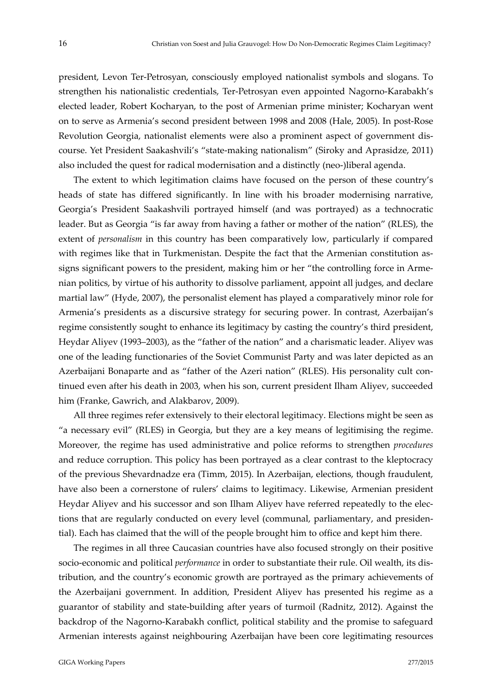president, Levon Ter‐Petrosyan, consciously employed nationalist symbols and slogans. To strengthen his nationalistic credentials, Ter‐Petrosyan even appointed Nagorno‐Karabakh's elected leader, Robert Kocharyan, to the post of Armenian prime minister; Kocharyan went on to serve as Armenia's second president between 1998 and 2008 (Hale, 2005). In post‐Rose Revolution Georgia, nationalist elements were also a prominent aspect of government dis‐ course. Yet President Saakashvili's "state‐making nationalism" (Siroky and Aprasidze, 2011) also included the quest for radical modernisation and a distinctly (neo‐)liberal agenda.

The extent to which legitimation claims have focused on the person of these country's heads of state has differed significantly. In line with his broader modernising narrative, Georgia's President Saakashvili portrayed himself (and was portrayed) as a technocratic leader. But as Georgia "is far away from having a father or mother of the nation" (RLES), the extent of *personalism* in this country has been comparatively low, particularly if compared with regimes like that in Turkmenistan. Despite the fact that the Armenian constitution assigns significant powers to the president, making him or her "the controlling force in Armenian politics, by virtue of his authority to dissolve parliament, appoint all judges, and declare martial law" (Hyde, 2007), the personalist element has played a comparatively minor role for Armenia's presidents as a discursive strategy for securing power. In contrast, Azerbaijan's regime consistently sought to enhance its legitimacy by casting the country's third president, Heydar Aliyev (1993–2003), as the "father of the nation" and a charismatic leader. Aliyev was one of the leading functionaries of the Soviet Communist Party and was later depicted as an Azerbaijani Bonaparte and as "father of the Azeri nation" (RLES). His personality cult con‐ tinued even after his death in 2003, when his son, current president Ilham Aliyev, succeeded him (Franke, Gawrich, and Alakbarov, 2009).

All three regimes refer extensively to their electoral legitimacy. Elections might be seen as "a necessary evil" (RLES) in Georgia, but they are a key means of legitimising the regime. Moreover, the regime has used administrative and police reforms to strengthen *procedures* and reduce corruption. This policy has been portrayed as a clear contrast to the kleptocracy of the previous Shevardnadze era (Timm, 2015). In Azerbaijan, elections, though fraudulent, have also been a cornerstone of rulers' claims to legitimacy. Likewise, Armenian president Heydar Aliyev and his successor and son Ilham Aliyev have referred repeatedly to the elec‐ tions that are regularly conducted on every level (communal, parliamentary, and presiden‐ tial). Each has claimed that the will of the people brought him to office and kept him there.

The regimes in all three Caucasian countries have also focused strongly on their positive socio‐economic and political *performance* in order to substantiate their rule. Oil wealth, its dis‐ tribution, and the country's economic growth are portrayed as the primary achievements of the Azerbaijani government. In addition, President Aliyev has presented his regime as a guarantor of stability and state‐building after years of turmoil (Radnitz, 2012). Against the backdrop of the Nagorno‐Karabakh conflict, political stability and the promise to safeguard Armenian interests against neighbouring Azerbaijan have been core legitimating resources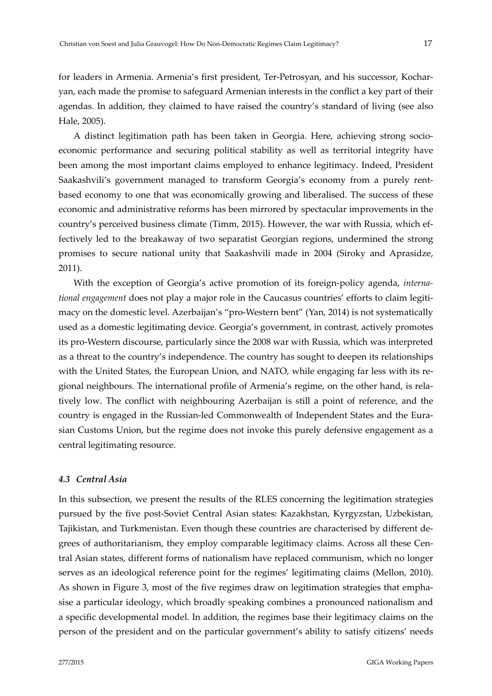for leaders in Armenia. Armenia's first president, Ter-Petrosyan, and his successor, Kocharyan, each made the promise to safeguard Armenian interests in the conflict a key part of their agendas. In addition, they claimed to have raised the country's standard of living (see also Hale, 2005).

A distinct legitimation path has been taken in Georgia. Here, achieving strong socio‐ economic performance and securing political stability as well as territorial integrity have been among the most important claims employed to enhance legitimacy. Indeed, President Saakashvili's government managed to transform Georgia's economy from a purely rent‐ based economy to one that was economically growing and liberalised. The success of these economic and administrative reforms has been mirrored by spectacular improvements in the country's perceived business climate (Timm, 2015). However, the war with Russia, which ef‐ fectively led to the breakaway of two separatist Georgian regions, undermined the strong promises to secure national unity that Saakashvili made in 2004 (Siroky and Aprasidze, 2011).

With the exception of Georgia's active promotion of its foreign-policy agenda, *international engagement* does not play a major role in the Caucasus countries' efforts to claim legiti‐ macy on the domestic level. Azerbaijan's "pro‐Western bent" (Yan, 2014) is not systematically used as a domestic legitimating device. Georgia's government, in contrast, actively promotes its pro‐Western discourse, particularly since the 2008 war with Russia, which was interpreted as a threat to the country's independence. The country has sought to deepen its relationships with the United States, the European Union, and NATO, while engaging far less with its regional neighbours. The international profile of Armenia's regime, on the other hand, is rela‐ tively low. The conflict with neighbouring Azerbaijan is still a point of reference, and the country is engaged in the Russian‐led Commonwealth of Independent States and the Eura‐ sian Customs Union, but the regime does not invoke this purely defensive engagement as a central legitimating resource.

#### *4.3 Central Asia*

In this subsection, we present the results of the RLES concerning the legitimation strategies pursued by the five post‐Soviet Central Asian states: Kazakhstan, Kyrgyzstan, Uzbekistan, Tajikistan, and Turkmenistan. Even though these countries are characterised by different de‐ grees of authoritarianism, they employ comparable legitimacy claims. Across all these Central Asian states, different forms of nationalism have replaced communism, which no longer serves as an ideological reference point for the regimes' legitimating claims (Mellon, 2010). As shown in Figure 3, most of the five regimes draw on legitimation strategies that empha‐ sise a particular ideology, which broadly speaking combines a pronounced nationalism and a specific developmental model. In addition, the regimes base their legitimacy claims on the person of the president and on the particular government's ability to satisfy citizens' needs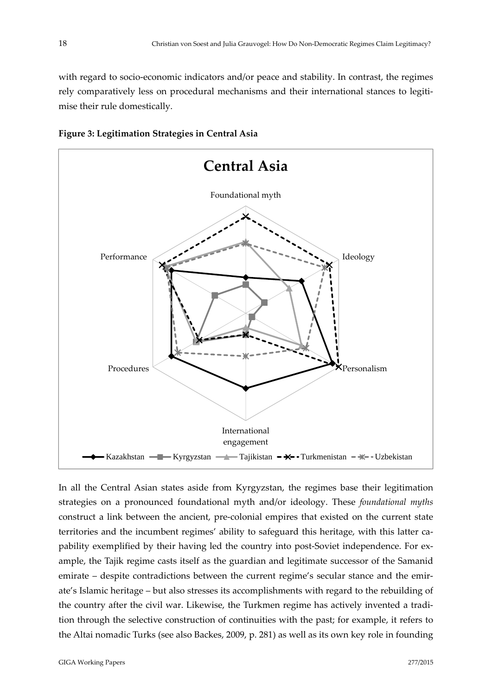with regard to socio-economic indicators and/or peace and stability. In contrast, the regimes rely comparatively less on procedural mechanisms and their international stances to legitimise their rule domestically.





In all the Central Asian states aside from Kyrgyzstan, the regimes base their legitimation strategies on a pronounced foundational myth and/or ideology. These *foundational myths* construct a link between the ancient, pre‐colonial empires that existed on the current state territories and the incumbent regimes' ability to safeguard this heritage, with this latter ca‐ pability exemplified by their having led the country into post-Soviet independence. For example, the Tajik regime casts itself as the guardian and legitimate successor of the Samanid emirate – despite contradictions between the current regime's secular stance and the emirate's Islamic heritage – but also stresses its accomplishments with regard to the rebuilding of the country after the civil war. Likewise, the Turkmen regime has actively invented a tradition through the selective construction of continuities with the past; for example, it refers to the Altai nomadic Turks (see also Backes, 2009, p. 281) as well as its own key role in founding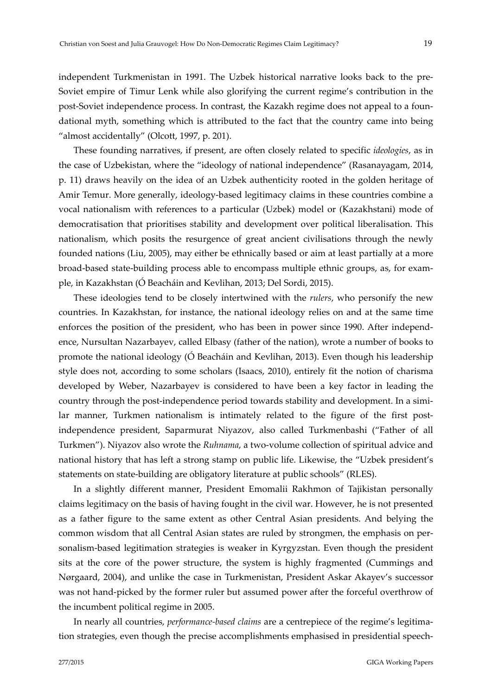independent Turkmenistan in 1991. The Uzbek historical narrative looks back to the pre-Soviet empire of Timur Lenk while also glorifying the current regime's contribution in the post-Soviet independence process. In contrast, the Kazakh regime does not appeal to a foundational myth, something which is attributed to the fact that the country came into being "almost accidentally" (Olcott, 1997, p. 201).

These founding narratives, if present, are often closely related to specific *ideologies*, as in the case of Uzbekistan, where the "ideology of national independence" (Rasanayagam, 2014, p. 11) draws heavily on the idea of an Uzbek authenticity rooted in the golden heritage of Amir Temur. More generally, ideology‐based legitimacy claims in these countries combine a vocal nationalism with references to a particular (Uzbek) model or (Kazakhstani) mode of democratisation that prioritises stability and development over political liberalisation. This nationalism, which posits the resurgence of great ancient civilisations through the newly founded nations (Liu, 2005), may either be ethnically based or aim at least partially at a more broad‐based state‐building process able to encompass multiple ethnic groups, as, for exam‐ ple, in Kazakhstan (Ó Beacháin and Kevlihan, 2013; Del Sordi, 2015).

These ideologies tend to be closely intertwined with the *rulers*, who personify the new countries. In Kazakhstan, for instance, the national ideology relies on and at the same time enforces the position of the president, who has been in power since 1990. After independence, Nursultan Nazarbayev, called Elbasy (father of the nation), wrote a number of books to promote the national ideology (Ó Beacháin and Kevlihan, 2013). Even though his leadership style does not, according to some scholars (Isaacs, 2010), entirely fit the notion of charisma developed by Weber, Nazarbayev is considered to have been a key factor in leading the country through the post-independence period towards stability and development. In a similar manner, Turkmen nationalism is intimately related to the figure of the first postindependence president, Saparmurat Niyazov, also called Turkmenbashi ("Father of all Turkmen"). Niyazov also wrote the *Ruhnama*, a two-volume collection of spiritual advice and national history that has left a strong stamp on public life. Likewise, the "Uzbek president's statements on state‐building are obligatory literature at public schools" (RLES).

In a slightly different manner, President Emomalii Rakhmon of Tajikistan personally claims legitimacy on the basis of having fought in the civil war. However, he is not presented as a father figure to the same extent as other Central Asian presidents. And belying the common wisdom that all Central Asian states are ruled by strongmen, the emphasis on per‐ sonalism‐based legitimation strategies is weaker in Kyrgyzstan. Even though the president sits at the core of the power structure, the system is highly fragmented (Cummings and Nørgaard, 2004), and unlike the case in Turkmenistan, President Askar Akayev's successor was not hand-picked by the former ruler but assumed power after the forceful overthrow of the incumbent political regime in 2005.

In nearly all countries, *performance‐based claims* are a centrepiece of the regime's legitima‐ tion strategies, even though the precise accomplishments emphasised in presidential speech‐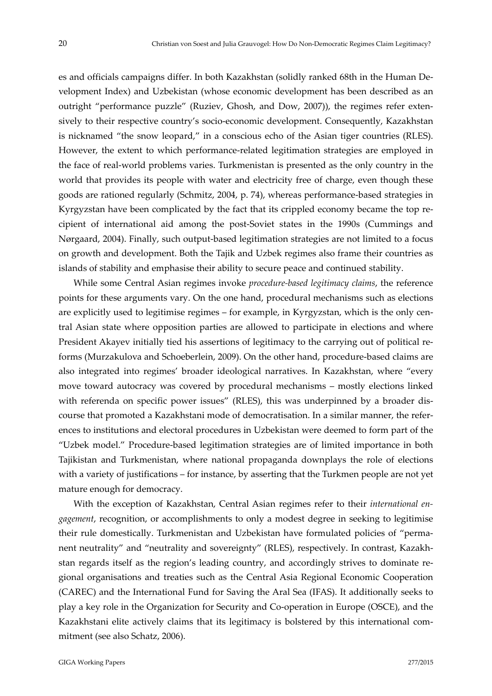es and officials campaigns differ. In both Kazakhstan (solidly ranked 68th in the Human De‐ velopment Index) and Uzbekistan (whose economic development has been described as an outright "performance puzzle" (Ruziev, Ghosh, and Dow, 2007)), the regimes refer extensively to their respective country's socio-economic development. Consequently, Kazakhstan is nicknamed "the snow leopard," in a conscious echo of the Asian tiger countries (RLES). However, the extent to which performance-related legitimation strategies are employed in the face of real‐world problems varies. Turkmenistan is presented as the only country in the world that provides its people with water and electricity free of charge, even though these goods are rationed regularly (Schmitz, 2004, p. 74), whereas performance‐based strategies in Kyrgyzstan have been complicated by the fact that its crippled economy became the top re‐ cipient of international aid among the post‐Soviet states in the 1990s (Cummings and Nørgaard, 2004). Finally, such output‐based legitimation strategies are not limited to a focus on growth and development. Both the Tajik and Uzbek regimes also frame their countries as islands of stability and emphasise their ability to secure peace and continued stability.

While some Central Asian regimes invoke *procedure‐based legitimacy claims*, the reference points for these arguments vary. On the one hand, procedural mechanisms such as elections are explicitly used to legitimise regimes – for example, in Kyrgyzstan, which is the only central Asian state where opposition parties are allowed to participate in elections and where President Akayev initially tied his assertions of legitimacy to the carrying out of political reforms (Murzakulova and Schoeberlein, 2009). On the other hand, procedure-based claims are also integrated into regimes' broader ideological narratives. In Kazakhstan, where "every move toward autocracy was covered by procedural mechanisms – mostly elections linked with referenda on specific power issues" (RLES), this was underpinned by a broader discourse that promoted a Kazakhstani mode of democratisation. In a similar manner, the refer‐ ences to institutions and electoral procedures in Uzbekistan were deemed to form part of the "Uzbek model." Procedure‐based legitimation strategies are of limited importance in both Tajikistan and Turkmenistan, where national propaganda downplays the role of elections with a variety of justifications – for instance, by asserting that the Turkmen people are not yet mature enough for democracy.

With the exception of Kazakhstan, Central Asian regimes refer to their *international engagement*, recognition, or accomplishments to only a modest degree in seeking to legitimise their rule domestically. Turkmenistan and Uzbekistan have formulated policies of "perma‐ nent neutrality" and "neutrality and sovereignty" (RLES), respectively. In contrast, Kazakh‐ stan regards itself as the region's leading country, and accordingly strives to dominate re‐ gional organisations and treaties such as the Central Asia Regional Economic Cooperation (CAREC) and the International Fund for Saving the Aral Sea (IFAS). It additionally seeks to play a key role in the Organization for Security and Co‐operation in Europe (OSCE), and the Kazakhstani elite actively claims that its legitimacy is bolstered by this international com‐ mitment (see also Schatz, 2006).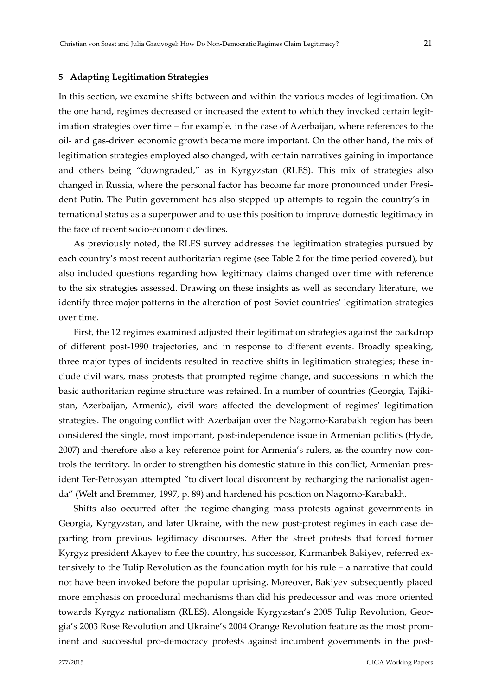#### **5 Adapting Legitimation Strategies**

In this section, we examine shifts between and within the various modes of legitimation. On the one hand, regimes decreased or increased the extent to which they invoked certain legit‐ imation strategies over time – for example, in the case of Azerbaijan, where references to the oil‐ and gas‐driven economic growth became more important. On the other hand, the mix of legitimation strategies employed also changed, with certain narratives gaining in importance and others being "downgraded," as in Kyrgyzstan (RLES). This mix of strategies also changed in Russia, where the personal factor has become far more pronounced under President Putin. The Putin government has also stepped up attempts to regain the country's in‐ ternational status as a superpower and to use this position to improve domestic legitimacy in the face of recent socio‐economic declines.

As previously noted, the RLES survey addresses the legitimation strategies pursued by each country's most recent authoritarian regime (see Table 2 for the time period covered), but also included questions regarding how legitimacy claims changed over time with reference to the six strategies assessed. Drawing on these insights as well as secondary literature, we identify three major patterns in the alteration of post‐Soviet countries' legitimation strategies over time.

First, the 12 regimes examined adjusted their legitimation strategies against the backdrop of different post‐1990 trajectories, and in response to different events. Broadly speaking, three major types of incidents resulted in reactive shifts in legitimation strategies; these in‐ clude civil wars, mass protests that prompted regime change, and successions in which the basic authoritarian regime structure was retained. In a number of countries (Georgia, Tajikistan, Azerbaijan, Armenia), civil wars affected the development of regimes' legitimation strategies. The ongoing conflict with Azerbaijan over the Nagorno‐Karabakh region has been considered the single, most important, post-independence issue in Armenian politics (Hyde, 2007) and therefore also a key reference point for Armenia's rulers, as the country now con‐ trols the territory. In order to strengthen his domestic stature in this conflict, Armenian president Ter-Petrosyan attempted "to divert local discontent by recharging the nationalist agenda" (Welt and Bremmer, 1997, p. 89) and hardened his position on Nagorno‐Karabakh.

Shifts also occurred after the regime‐changing mass protests against governments in Georgia, Kyrgyzstan, and later Ukraine, with the new post-protest regimes in each case departing from previous legitimacy discourses. After the street protests that forced former Kyrgyz president Akayev to flee the country, his successor, Kurmanbek Bakiyev, referred ex‐ tensively to the Tulip Revolution as the foundation myth for his rule – a narrative that could not have been invoked before the popular uprising. Moreover, Bakiyev subsequently placed more emphasis on procedural mechanisms than did his predecessor and was more oriented towards Kyrgyz nationalism (RLES). Alongside Kyrgyzstan's 2005 Tulip Revolution, Geor‐ gia's 2003 Rose Revolution and Ukraine's 2004 Orange Revolution feature as the most prom‐ inent and successful pro-democracy protests against incumbent governments in the post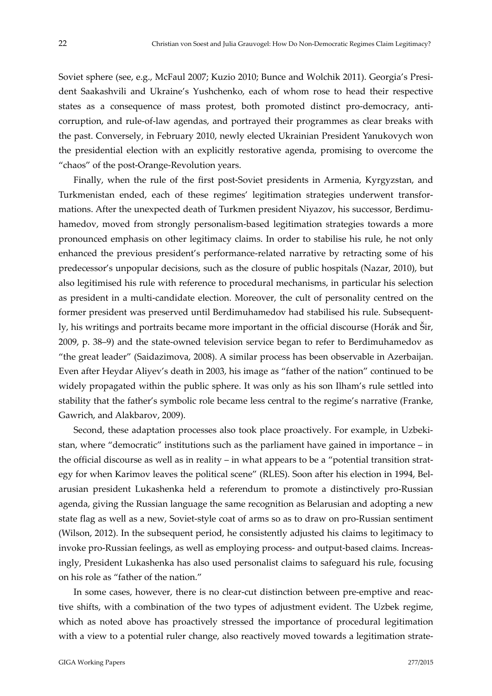Soviet sphere (see, e.g., McFaul 2007; Kuzio 2010; Bunce and Wolchik 2011). Georgia's President Saakashvili and Ukraine's Yushchenko, each of whom rose to head their respective states as a consequence of mass protest, both promoted distinct pro-democracy, anticorruption, and rule‐of‐law agendas, and portrayed their programmes as clear breaks with the past. Conversely, in February 2010, newly elected Ukrainian President Yanukovych won the presidential election with an explicitly restorative agenda, promising to overcome the "chaos" of the post‐Orange‐Revolution years.

Finally, when the rule of the first post-Soviet presidents in Armenia, Kyrgyzstan, and Turkmenistan ended, each of these regimes' legitimation strategies underwent transfor‐ mations. After the unexpected death of Turkmen president Niyazov, his successor, Berdimu‐ hamedov, moved from strongly personalism-based legitimation strategies towards a more pronounced emphasis on other legitimacy claims. In order to stabilise his rule, he not only enhanced the previous president's performance-related narrative by retracting some of his predecessor's unpopular decisions, such as the closure of public hospitals (Nazar, 2010), but also legitimised his rule with reference to procedural mechanisms, in particular his selection as president in a multi-candidate election. Moreover, the cult of personality centred on the former president was preserved until Berdimuhamedov had stabilised his rule. Subsequent‐ ly, his writings and portraits became more important in the official discourse (Horák and Šir, 2009, p. 38–9) and the state‐owned television service began to refer to Berdimuhamedov as "the great leader" (Saidazimova, 2008). A similar process has been observable in Azerbaijan. Even after Heydar Aliyev's death in 2003, his image as "father of the nation" continued to be widely propagated within the public sphere. It was only as his son Ilham's rule settled into stability that the father's symbolic role became less central to the regime's narrative (Franke, Gawrich, and Alakbarov, 2009).

Second, these adaptation processes also took place proactively. For example, in Uzbekistan, where "democratic" institutions such as the parliament have gained in importance – in the official discourse as well as in reality – in what appears to be a "potential transition strategy for when Karimov leaves the political scene" (RLES). Soon after his election in 1994, Belarusian president Lukashenka held a referendum to promote a distinctively pro‐Russian agenda, giving the Russian language the same recognition as Belarusian and adopting a new state flag as well as a new, Soviet‐style coat of arms so as to draw on pro‐Russian sentiment (Wilson, 2012). In the subsequent period, he consistently adjusted his claims to legitimacy to invoke pro-Russian feelings, as well as employing process- and output-based claims. Increasingly, President Lukashenka has also used personalist claims to safeguard his rule, focusing on his role as "father of the nation."

In some cases, however, there is no clear‐cut distinction between pre‐emptive and reac‐ tive shifts, with a combination of the two types of adjustment evident. The Uzbek regime, which as noted above has proactively stressed the importance of procedural legitimation with a view to a potential ruler change, also reactively moved towards a legitimation strate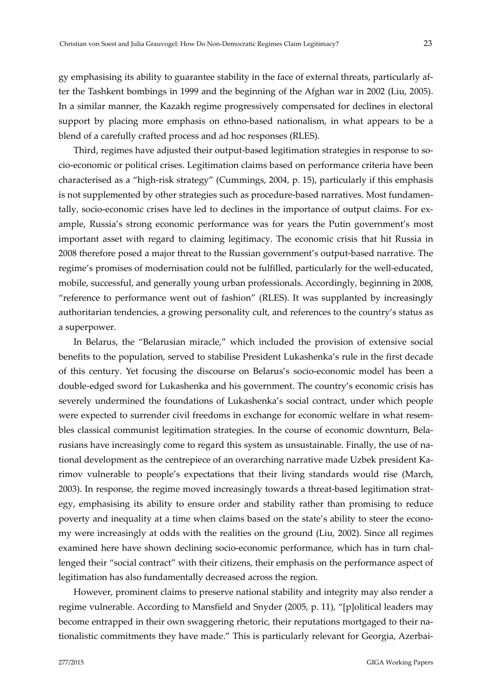gy emphasising its ability to guarantee stability in the face of external threats, particularly af‐ ter the Tashkent bombings in 1999 and the beginning of the Afghan war in 2002 (Liu, 2005). In a similar manner, the Kazakh regime progressively compensated for declines in electoral support by placing more emphasis on ethno-based nationalism, in what appears to be a blend of a carefully crafted process and ad hoc responses (RLES).

Third, regimes have adjusted their output-based legitimation strategies in response to socio‐economic or political crises. Legitimation claims based on performance criteria have been characterised as a "high‐risk strategy" (Cummings, 2004, p. 15), particularly if this emphasis is not supplemented by other strategies such as procedure-based narratives. Most fundamentally, socio-economic crises have led to declines in the importance of output claims. For example, Russia's strong economic performance was for years the Putin government's most important asset with regard to claiming legitimacy. The economic crisis that hit Russia in 2008 therefore posed a major threat to the Russian government's output‐based narrative. The regime's promises of modernisation could not be fulfilled, particularly for the well-educated, mobile, successful, and generally young urban professionals. Accordingly, beginning in 2008, "reference to performance went out of fashion" (RLES). It was supplanted by increasingly authoritarian tendencies, a growing personality cult, and references to the country's status as a superpower.

In Belarus, the "Belarusian miracle," which included the provision of extensive social benefits to the population, served to stabilise President Lukashenka's rule in the first decade of this century. Yet focusing the discourse on Belarus's socio‐economic model has been a double‐edged sword for Lukashenka and his government. The country's economic crisis has severely undermined the foundations of Lukashenka's social contract, under which people were expected to surrender civil freedoms in exchange for economic welfare in what resembles classical communist legitimation strategies. In the course of economic downturn, Belarusians have increasingly come to regard this system as unsustainable. Finally, the use of na‐ tional development as the centrepiece of an overarching narrative made Uzbek president Ka‐ rimov vulnerable to people's expectations that their living standards would rise (March, 2003). In response, the regime moved increasingly towards a threat-based legitimation strategy, emphasising its ability to ensure order and stability rather than promising to reduce poverty and inequality at a time when claims based on the state's ability to steer the economy were increasingly at odds with the realities on the ground (Liu, 2002). Since all regimes examined here have shown declining socio-economic performance, which has in turn challenged their "social contract" with their citizens, their emphasis on the performance aspect of legitimation has also fundamentally decreased across the region.

However, prominent claims to preserve national stability and integrity may also render a regime vulnerable. According to Mansfield and Snyder (2005, p. 11), "[p]olitical leaders may become entrapped in their own swaggering rhetoric, their reputations mortgaged to their nationalistic commitments they have made." This is particularly relevant for Georgia, Azerbai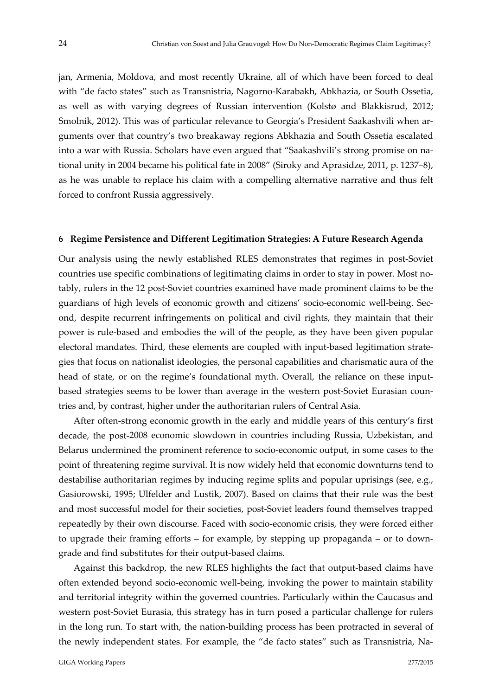jan, Armenia, Moldova, and most recently Ukraine, all of which have been forced to deal with "de facto states" such as Transnistria, Nagorno‐Karabakh, Abkhazia, or South Ossetia, as well as with varying degrees of Russian intervention (Kolstø and Blakkisrud, 2012; Smolnik, 2012). This was of particular relevance to Georgia's President Saakashvili when ar‐ guments over that country's two breakaway regions Abkhazia and South Ossetia escalated into a war with Russia. Scholars have even argued that "Saakashvili's strong promise on na‐ tional unity in 2004 became his political fate in 2008" (Siroky and Aprasidze, 2011, p. 1237–8), as he was unable to replace his claim with a compelling alternative narrative and thus felt forced to confront Russia aggressively.

#### **6 Regime Persistence and Different Legitimation Strategies: A Future Research Agenda**

Our analysis using the newly established RLES demonstrates that regimes in post‐Soviet countries use specific combinations of legitimating claims in order to stay in power. Most no‐ tably, rulers in the 12 post‐Soviet countries examined have made prominent claims to be the guardians of high levels of economic growth and citizens' socio‐economic well‐being. Sec‐ ond, despite recurrent infringements on political and civil rights, they maintain that their power is rule‐based and embodies the will of the people, as they have been given popular electoral mandates. Third, these elements are coupled with input‐based legitimation strate‐ gies that focus on nationalist ideologies, the personal capabilities and charismatic aura of the head of state, or on the regime's foundational myth. Overall, the reliance on these inputbased strategies seems to be lower than average in the western post-Soviet Eurasian countries and, by contrast, higher under the authoritarian rulers of Central Asia.

After often‐strong economic growth in the early and middle years of this century's first decade, the post‐2008 economic slowdown in countries including Russia, Uzbekistan, and Belarus undermined the prominent reference to socio‐economic output, in some cases to the point of threatening regime survival. It is now widely held that economic downturns tend to destabilise authoritarian regimes by inducing regime splits and popular uprisings (see, e.g., Gasiorowski, 1995; Ulfelder and Lustik, 2007). Based on claims that their rule was the best and most successful model for their societies, post‐Soviet leaders found themselves trapped repeatedly by their own discourse. Faced with socio‐economic crisis, they were forced either to upgrade their framing efforts – for example, by stepping up propaganda – or to down‐ grade and find substitutes for their output‐based claims.

Against this backdrop, the new RLES highlights the fact that output‐based claims have often extended beyond socio‐economic well‐being, invoking the power to maintain stability and territorial integrity within the governed countries. Particularly within the Caucasus and western post-Soviet Eurasia, this strategy has in turn posed a particular challenge for rulers in the long run. To start with, the nation‐building process has been protracted in several of the newly independent states. For example, the "de facto states" such as Transnistria, Na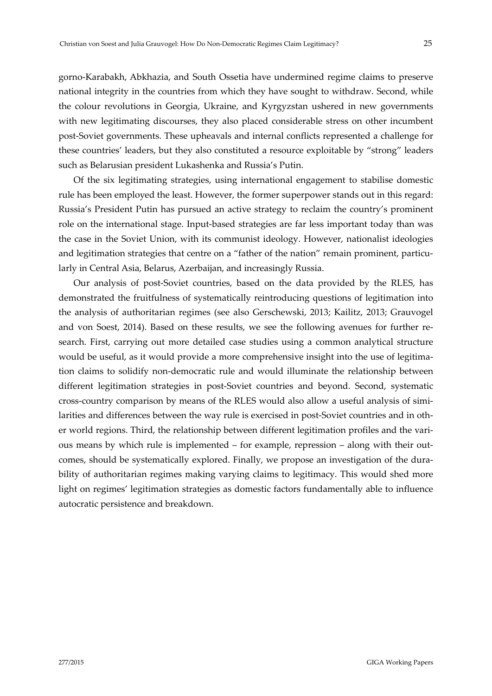gorno‐Karabakh, Abkhazia, and South Ossetia have undermined regime claims to preserve national integrity in the countries from which they have sought to withdraw. Second, while the colour revolutions in Georgia, Ukraine, and Kyrgyzstan ushered in new governments with new legitimating discourses, they also placed considerable stress on other incumbent post‐Soviet governments. These upheavals and internal conflicts represented a challenge for these countries' leaders, but they also constituted a resource exploitable by "strong" leaders such as Belarusian president Lukashenka and Russia's Putin.

Of the six legitimating strategies, using international engagement to stabilise domestic rule has been employed the least. However, the former superpower stands out in this regard: Russia's President Putin has pursued an active strategy to reclaim the country's prominent role on the international stage. Input‐based strategies are far less important today than was the case in the Soviet Union, with its communist ideology. However, nationalist ideologies and legitimation strategies that centre on a "father of the nation" remain prominent, particularly in Central Asia, Belarus, Azerbaijan, and increasingly Russia.

Our analysis of post‐Soviet countries, based on the data provided by the RLES, has demonstrated the fruitfulness of systematically reintroducing questions of legitimation into the analysis of authoritarian regimes (see also Gerschewski, 2013; Kailitz, 2013; Grauvogel and von Soest, 2014). Based on these results, we see the following avenues for further research. First, carrying out more detailed case studies using a common analytical structure would be useful, as it would provide a more comprehensive insight into the use of legitimation claims to solidify non‐democratic rule and would illuminate the relationship between different legitimation strategies in post‐Soviet countries and beyond. Second, systematic cross‐country comparison by means of the RLES would also allow a useful analysis of simi‐ larities and differences between the way rule is exercised in post‐Soviet countries and in oth‐ er world regions. Third, the relationship between different legitimation profiles and the various means by which rule is implemented – for example, repression – along with their out‐ comes, should be systematically explored. Finally, we propose an investigation of the durability of authoritarian regimes making varying claims to legitimacy. This would shed more light on regimes' legitimation strategies as domestic factors fundamentally able to influence autocratic persistence and breakdown.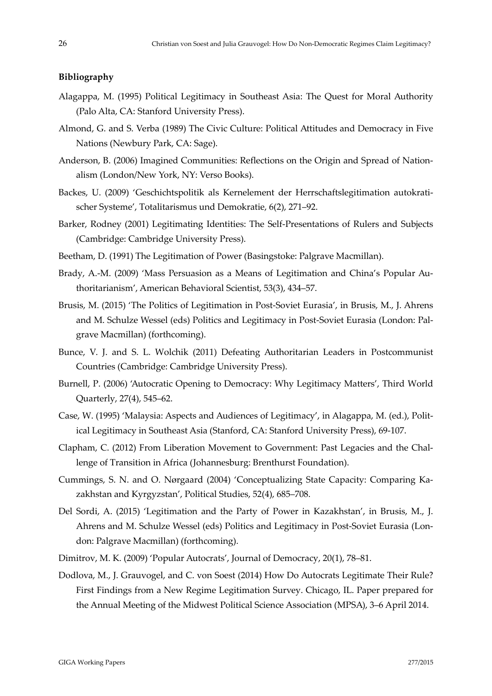#### **Bibliography**

- Alagappa, M. (1995) Political Legitimacy in Southeast Asia: The Quest for Moral Authority (Palo Alta, CA: Stanford University Press).
- Almond, G. and S. Verba (1989) The Civic Culture: Political Attitudes and Democracy in Five Nations (Newbury Park, CA: Sage).
- Anderson, B. (2006) Imagined Communities: Reflections on the Origin and Spread of Nationalism (London/New York, NY: Verso Books).
- Backes, U. (2009) 'Geschichtspolitik als Kernelement der Herrschaftslegitimation autokratischer Systeme', Totalitarismus und Demokratie, 6(2), 271–92.
- Barker, Rodney (2001) Legitimating Identities: The Self‐Presentations of Rulers and Subjects (Cambridge: Cambridge University Press).
- Beetham, D. (1991) The Legitimation of Power (Basingstoke: Palgrave Macmillan).
- Brady, A.‐M. (2009) 'Mass Persuasion as a Means of Legitimation and China's Popular Au‐ thoritarianism', American Behavioral Scientist, 53(3), 434–57.
- Brusis, M. (2015) 'The Politics of Legitimation in Post-Soviet Eurasia', in Brusis, M., J. Ahrens and M. Schulze Wessel (eds) Politics and Legitimacy in Post‐Soviet Eurasia (London: Pal‐ grave Macmillan) (forthcoming).
- Bunce, V. J. and S. L. Wolchik (2011) Defeating Authoritarian Leaders in Postcommunist Countries (Cambridge: Cambridge University Press).
- Burnell, P. (2006) 'Autocratic Opening to Democracy: Why Legitimacy Matters', Third World Quarterly, 27(4), 545–62.
- Case, W. (1995) 'Malaysia: Aspects and Audiences of Legitimacy', in Alagappa, M. (ed.), Polit‐ ical Legitimacy in Southeast Asia (Stanford, CA: Stanford University Press), 69‐107.
- Clapham, C. (2012) From Liberation Movement to Government: Past Legacies and the Chal‐ lenge of Transition in Africa (Johannesburg: Brenthurst Foundation).
- Cummings, S. N. and O. Nørgaard (2004) 'Conceptualizing State Capacity: Comparing Ka‐ zakhstan and Kyrgyzstan', Political Studies, 52(4), 685–708.
- Del Sordi, A. (2015) 'Legitimation and the Party of Power in Kazakhstan', in Brusis, M., J. Ahrens and M. Schulze Wessel (eds) Politics and Legitimacy in Post‐Soviet Eurasia (Lon‐ don: Palgrave Macmillan) (forthcoming).
- Dimitrov, M. K. (2009) 'Popular Autocrats', Journal of Democracy, 20(1), 78–81.
- Dodlova, M., J. Grauvogel, and C. von Soest (2014) How Do Autocrats Legitimate Their Rule? First Findings from a New Regime Legitimation Survey. Chicago, IL. Paper prepared for the Annual Meeting of the Midwest Political Science Association (MPSA), 3–6 April 2014.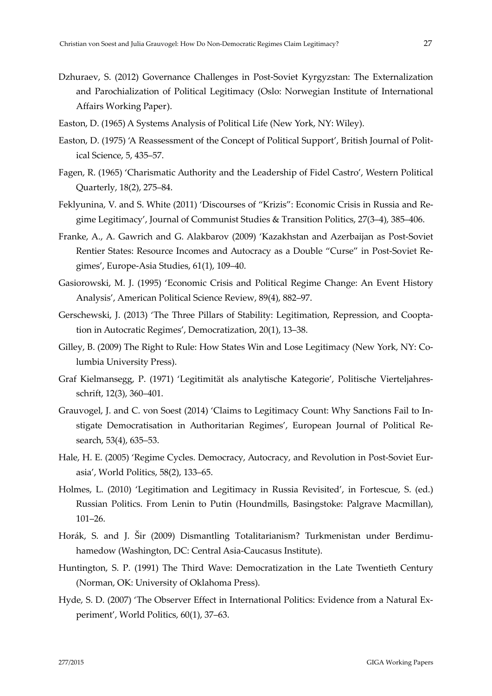- Dzhuraev, S. (2012) Governance Challenges in Post‐Soviet Kyrgyzstan: The Externalization and Parochialization of Political Legitimacy (Oslo: Norwegian Institute of International Affairs Working Paper).
- Easton, D. (1965) A Systems Analysis of Political Life (New York, NY: Wiley).
- Easton, D. (1975) 'A Reassessment of the Concept of Political Support', British Journal of Polit‐ ical Science, 5, 435–57.
- Fagen, R. (1965) 'Charismatic Authority and the Leadership of Fidel Castro', Western Political Quarterly, 18(2), 275–84.
- Feklyunina, V. and S. White (2011) 'Discourses of "Krizis": Economic Crisis in Russia and Re‐ gime Legitimacy', Journal of Communist Studies & Transition Politics, 27(3–4), 385–406.
- Franke, A., A. Gawrich and G. Alakbarov (2009) 'Kazakhstan and Azerbaijan as Post‐Soviet Rentier States: Resource Incomes and Autocracy as a Double "Curse" in Post‐Soviet Re‐ gimes', Europe‐Asia Studies, 61(1), 109–40.
- Gasiorowski, M. J. (1995) 'Economic Crisis and Political Regime Change: An Event History Analysis', American Political Science Review, 89(4), 882–97.
- Gerschewski, J. (2013) 'The Three Pillars of Stability: Legitimation, Repression, and Coopta‐ tion in Autocratic Regimes', Democratization, 20(1), 13–38.
- Gilley, B. (2009) The Right to Rule: How States Win and Lose Legitimacy (New York, NY: Co‐ lumbia University Press).
- Graf Kielmansegg, P. (1971) 'Legitimität als analytische Kategorie', Politische Vierteljahres‐ schrift, 12(3), 360–401.
- Grauvogel, J. and C. von Soest (2014) 'Claims to Legitimacy Count: Why Sanctions Fail to In‐ stigate Democratisation in Authoritarian Regimes', European Journal of Political Re‐ search, 53(4), 635–53.
- Hale, H. E. (2005) 'Regime Cycles. Democracy, Autocracy, and Revolution in Post-Soviet Eurasia', World Politics, 58(2), 133–65.
- Holmes, L. (2010) 'Legitimation and Legitimacy in Russia Revisited', in Fortescue, S. (ed.) Russian Politics. From Lenin to Putin (Houndmills, Basingstoke: Palgrave Macmillan), 101–26.
- Horák, S. and J. Šir (2009) Dismantling Totalitarianism? Turkmenistan under Berdimu‐ hamedow (Washington, DC: Central Asia‐Caucasus Institute).
- Huntington, S. P. (1991) The Third Wave: Democratization in the Late Twentieth Century (Norman, OK: University of Oklahoma Press).
- Hyde, S. D. (2007) 'The Observer Effect in International Politics: Evidence from a Natural Ex‐ periment', World Politics, 60(1), 37–63.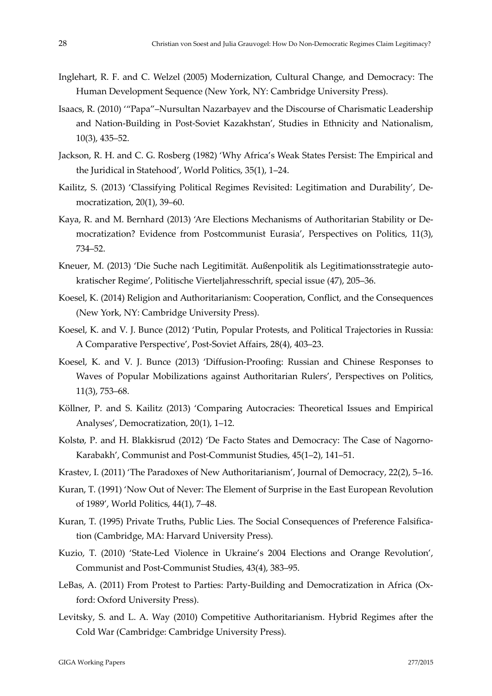- Inglehart, R. F. and C. Welzel (2005) Modernization, Cultural Change, and Democracy: The Human Development Sequence (New York, NY: Cambridge University Press).
- Isaacs, R. (2010) '"Papa"–Nursultan Nazarbayev and the Discourse of Charismatic Leadership and Nation‐Building in Post‐Soviet Kazakhstan', Studies in Ethnicity and Nationalism, 10(3), 435–52.
- Jackson, R. H. and C. G. Rosberg (1982) 'Why Africa's Weak States Persist: The Empirical and the Juridical in Statehood', World Politics, 35(1), 1–24.
- Kailitz, S. (2013) 'Classifying Political Regimes Revisited: Legitimation and Durability', De‐ mocratization, 20(1), 39–60.
- Kaya, R. and M. Bernhard (2013) 'Are Elections Mechanisms of Authoritarian Stability or De‐ mocratization? Evidence from Postcommunist Eurasia', Perspectives on Politics, 11(3), 734–52.
- Kneuer, M. (2013) 'Die Suche nach Legitimität. Außenpolitik als Legitimationsstrategie autokratischer Regime', Politische Vierteljahresschrift, special issue (47), 205–36.
- Koesel, K. (2014) Religion and Authoritarianism: Cooperation, Conflict, and the Consequences (New York, NY: Cambridge University Press).
- Koesel, K. and V. J. Bunce (2012) 'Putin, Popular Protests, and Political Trajectories in Russia: A Comparative Perspective', Post‐Soviet Affairs, 28(4), 403–23.
- Koesel, K. and V. J. Bunce (2013) 'Diffusion‐Proofing: Russian and Chinese Responses to Waves of Popular Mobilizations against Authoritarian Rulers', Perspectives on Politics, 11(3), 753–68.
- Köllner, P. and S. Kailitz (2013) 'Comparing Autocracies: Theoretical Issues and Empirical Analyses', Democratization, 20(1), 1–12.
- Kolstø, P. and H. Blakkisrud (2012) 'De Facto States and Democracy: The Case of Nagorno-Karabakh', Communist and Post‐Communist Studies, 45(1–2), 141–51.
- Krastev, I. (2011) 'The Paradoxes of New Authoritarianism', Journal of Democracy, 22(2), 5–16.
- Kuran, T. (1991) 'Now Out of Never: The Element of Surprise in the East European Revolution of 1989', World Politics, 44(1), 7–48.
- Kuran, T. (1995) Private Truths, Public Lies. The Social Consequences of Preference Falsification (Cambridge, MA: Harvard University Press).
- Kuzio, T. (2010) 'State‐Led Violence in Ukraine's 2004 Elections and Orange Revolution', Communist and Post‐Communist Studies, 43(4), 383–95.
- LeBas, A. (2011) From Protest to Parties: Party-Building and Democratization in Africa (Oxford: Oxford University Press).
- Levitsky, S. and L. A. Way (2010) Competitive Authoritarianism. Hybrid Regimes after the Cold War (Cambridge: Cambridge University Press).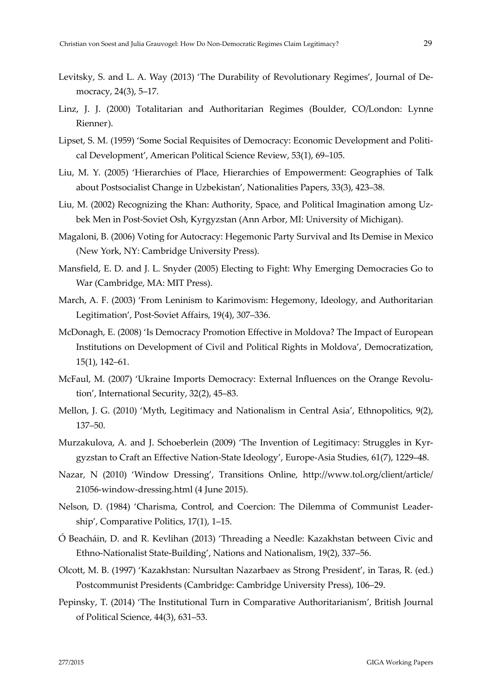- Levitsky, S. and L. A. Way (2013) 'The Durability of Revolutionary Regimes', Journal of De‐ mocracy, 24(3), 5–17.
- Linz, J. J. (2000) Totalitarian and Authoritarian Regimes (Boulder, CO/London: Lynne Rienner).
- Lipset, S. M. (1959) 'Some Social Requisites of Democracy: Economic Development and Politi‐ cal Development', American Political Science Review, 53(1), 69–105.
- Liu, M. Y. (2005) 'Hierarchies of Place, Hierarchies of Empowerment: Geographies of Talk about Postsocialist Change in Uzbekistan', Nationalities Papers, 33(3), 423–38.
- Liu, M. (2002) Recognizing the Khan: Authority, Space, and Political Imagination among Uz‐ bek Men in Post‐Soviet Osh, Kyrgyzstan (Ann Arbor, MI: University of Michigan).
- Magaloni, B. (2006) Voting for Autocracy: Hegemonic Party Survival and Its Demise in Mexico (New York, NY: Cambridge University Press).
- Mansfield, E. D. and J. L. Snyder (2005) Electing to Fight: Why Emerging Democracies Go to War (Cambridge, MA: MIT Press).
- March, A. F. (2003) 'From Leninism to Karimovism: Hegemony, Ideology, and Authoritarian Legitimation', Post‐Soviet Affairs, 19(4), 307–336.
- McDonagh, E. (2008) 'Is Democracy Promotion Effective in Moldova? The Impact of European Institutions on Development of Civil and Political Rights in Moldova', Democratization, 15(1), 142–61.
- McFaul, M. (2007) 'Ukraine Imports Democracy: External Influences on the Orange Revolution', International Security, 32(2), 45–83.
- Mellon, J. G. (2010) 'Myth, Legitimacy and Nationalism in Central Asia', Ethnopolitics, 9(2), 137–50.
- Murzakulova, A. and J. Schoeberlein (2009) 'The Invention of Legitimacy: Struggles in Kyrgyzstan to Craft an Effective Nation‐State Ideology', Europe‐Asia Studies, 61(7), 1229–48.
- Nazar, N (2010) 'Window Dressing', Transitions Online, http://www.tol.org/client/article/ 21056‐window‐dressing.html (4 June 2015).
- Nelson, D. (1984) 'Charisma, Control, and Coercion: The Dilemma of Communist Leader‐ ship', Comparative Politics, 17(1), 1–15.
- Ó Beacháin, D. and R. Kevlihan (2013) 'Threading a Needle: Kazakhstan between Civic and Ethno‐Nationalist State‐Building', Nations and Nationalism, 19(2), 337–56.
- Olcott, M. B. (1997) 'Kazakhstan: Nursultan Nazarbaev as Strong President', in Taras, R. (ed.) Postcommunist Presidents (Cambridge: Cambridge University Press), 106–29.
- Pepinsky, T. (2014) 'The Institutional Turn in Comparative Authoritarianism', British Journal of Political Science, 44(3), 631–53.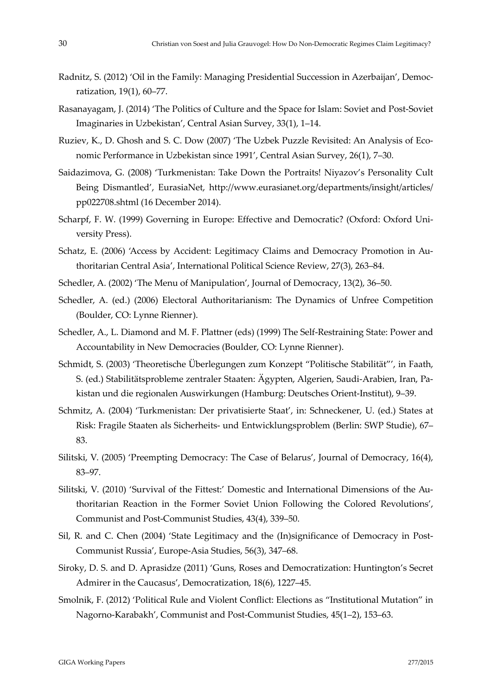- Radnitz, S. (2012) 'Oil in the Family: Managing Presidential Succession in Azerbaijan', Democ‐ ratization, 19(1), 60–77.
- Rasanayagam, J. (2014) 'The Politics of Culture and the Space for Islam: Soviet and Post‐Soviet Imaginaries in Uzbekistan', Central Asian Survey, 33(1), 1–14.
- Ruziev, K., D. Ghosh and S. C. Dow (2007) 'The Uzbek Puzzle Revisited: An Analysis of Eco‐ nomic Performance in Uzbekistan since 1991', Central Asian Survey, 26(1), 7–30.
- Saidazimova, G. (2008) 'Turkmenistan: Take Down the Portraits! Niyazov's Personality Cult Being Dismantled', EurasiaNet, http://www.eurasianet.org/departments/insight/articles/ pp022708.shtml (16 December 2014).
- Scharpf, F. W. (1999) Governing in Europe: Effective and Democratic? (Oxford: Oxford Uni‐ versity Press).
- Schatz, E. (2006) 'Access by Accident: Legitimacy Claims and Democracy Promotion in Authoritarian Central Asia', International Political Science Review, 27(3), 263–84.
- Schedler, A. (2002) 'The Menu of Manipulation', Journal of Democracy, 13(2), 36–50.
- Schedler, A. (ed.) (2006) Electoral Authoritarianism: The Dynamics of Unfree Competition (Boulder, CO: Lynne Rienner).
- Schedler, A., L. Diamond and M. F. Plattner (eds) (1999) The Self‐Restraining State: Power and Accountability in New Democracies (Boulder, CO: Lynne Rienner).
- Schmidt, S. (2003) 'Theoretische Überlegungen zum Konzept "Politische Stabilität"', in Faath, S. (ed.) Stabilitätsprobleme zentraler Staaten: Ägypten, Algerien, Saudi‐Arabien, Iran, Pa‐ kistan und die regionalen Auswirkungen (Hamburg: Deutsches Orient‐Institut), 9–39.
- Schmitz, A. (2004) 'Turkmenistan: Der privatisierte Staat', in: Schneckener, U. (ed.) States at Risk: Fragile Staaten als Sicherheits‐ und Entwicklungsproblem (Berlin: SWP Studie), 67– 83.
- Silitski, V. (2005) 'Preempting Democracy: The Case of Belarus', Journal of Democracy, 16(4), 83–97.
- Silitski, V. (2010) 'Survival of the Fittest:' Domestic and International Dimensions of the Au‐ thoritarian Reaction in the Former Soviet Union Following the Colored Revolutions', Communist and Post‐Communist Studies, 43(4), 339–50.
- Sil, R. and C. Chen (2004) 'State Legitimacy and the (In)significance of Democracy in Post-Communist Russia', Europe‐Asia Studies, 56(3), 347–68.
- Siroky, D. S. and D. Aprasidze (2011) 'Guns, Roses and Democratization: Huntington's Secret Admirer in the Caucasus', Democratization, 18(6), 1227–45.
- Smolnik, F. (2012) 'Political Rule and Violent Conflict: Elections as "Institutional Mutation" in Nagorno‐Karabakh', Communist and Post‐Communist Studies, 45(1–2), 153–63.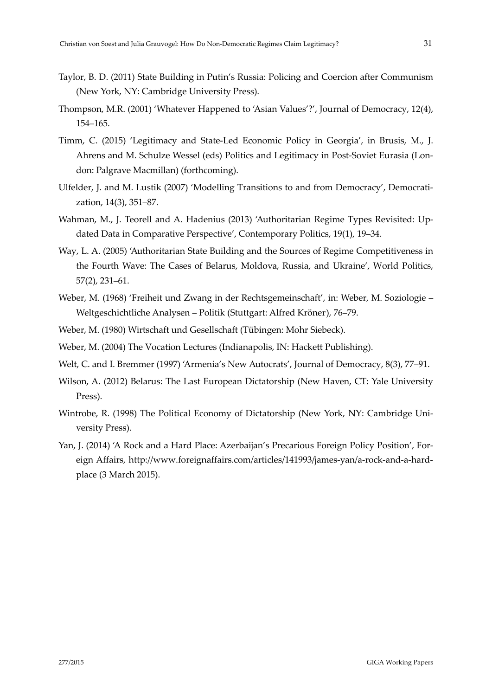- Taylor, B. D. (2011) State Building in Putin's Russia: Policing and Coercion after Communism (New York, NY: Cambridge University Press).
- Thompson, M.R. (2001) 'Whatever Happened to 'Asian Values'?', Journal of Democracy, 12(4), 154–165.
- Timm, C. (2015) 'Legitimacy and State‐Led Economic Policy in Georgia', in Brusis, M., J. Ahrens and M. Schulze Wessel (eds) Politics and Legitimacy in Post‐Soviet Eurasia (Lon‐ don: Palgrave Macmillan) (forthcoming).
- Ulfelder, J. and M. Lustik (2007) 'Modelling Transitions to and from Democracy', Democrati‐ zation, 14(3), 351–87.
- Wahman, M., J. Teorell and A. Hadenius (2013) 'Authoritarian Regime Types Revisited: Up‐ dated Data in Comparative Perspective', Contemporary Politics, 19(1), 19–34.
- Way, L. A. (2005) 'Authoritarian State Building and the Sources of Regime Competitiveness in the Fourth Wave: The Cases of Belarus, Moldova, Russia, and Ukraine', World Politics, 57(2), 231–61.
- Weber, M. (1968) 'Freiheit und Zwang in der Rechtsgemeinschaft', in: Weber, M. Soziologie Weltgeschichtliche Analysen – Politik (Stuttgart: Alfred Kröner), 76–79.
- Weber, M. (1980) Wirtschaft und Gesellschaft (Tübingen: Mohr Siebeck).
- Weber, M. (2004) The Vocation Lectures (Indianapolis, IN: Hackett Publishing).
- Welt, C. and I. Bremmer (1997) 'Armenia's New Autocrats', Journal of Democracy, 8(3), 77–91.
- Wilson, A. (2012) Belarus: The Last European Dictatorship (New Haven, CT: Yale University Press).
- Wintrobe, R. (1998) The Political Economy of Dictatorship (New York, NY: Cambridge Uni‐ versity Press).
- Yan, J. (2014) 'A Rock and a Hard Place: Azerbaijan's Precarious Foreign Policy Position', For‐ eign Affairs, http://www.foreignaffairs.com/articles/141993/james‐yan/a‐rock‐and‐a‐hard‐ place (3 March 2015).